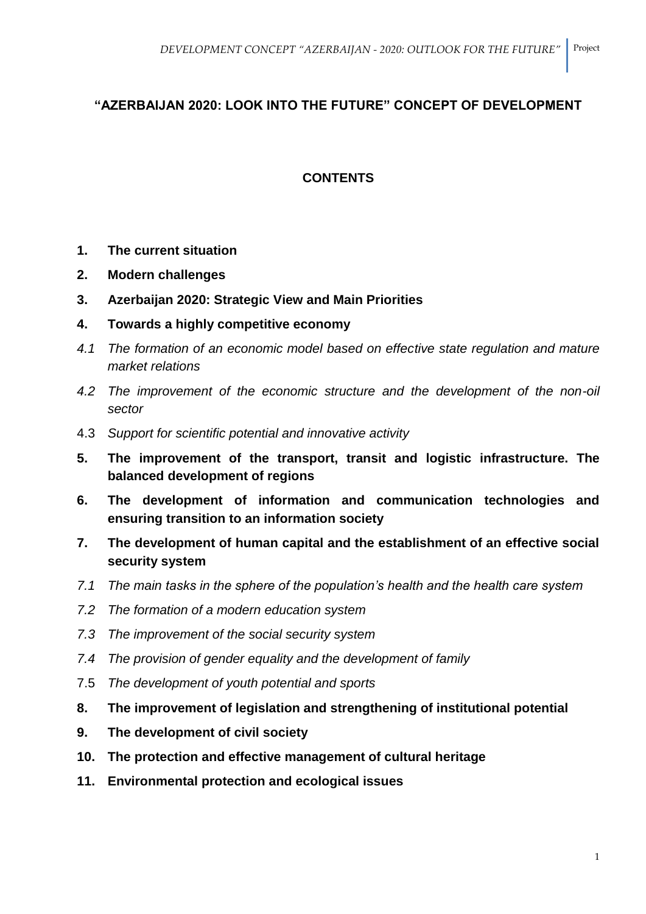# **"AZERBAIJAN 2020: LOOK INTO THE FUTURE" CONCEPT OF DEVELOPMENT**

# **CONTENTS**

- **1. The current situation**
- **2. Modern challenges**
- **3. Azerbaijan 2020: Strategic View and Main Priorities**
- **4. Towards a highly competitive economy**
- *4.1 The formation of an economic model based on effective state regulation and mature market relations*
- *4.2 The improvement of the economic structure and the development of the non-oil sector*
- 4.3 *Support for scientific potential and innovative activity*
- **5. The improvement of the transport, transit and logistic infrastructure. The balanced development of regions**
- **6. The development of information and communication technologies and ensuring transition to an information society**
- **7. The development of human capital and the establishment of an effective social security system**
- *7.1 The main tasks in the sphere of the population's health and the health care system*
- *7.2 The formation of a modern education system*
- *7.3 The improvement of the social security system*
- *7.4 The provision of gender equality and the development of family*
- 7.5 *The development of youth potential and sports*
- **8. The improvement of legislation and strengthening of institutional potential**
- **9. The development of civil society**
- **10. The protection and effective management of cultural heritage**
- **11. Environmental protection and ecological issues**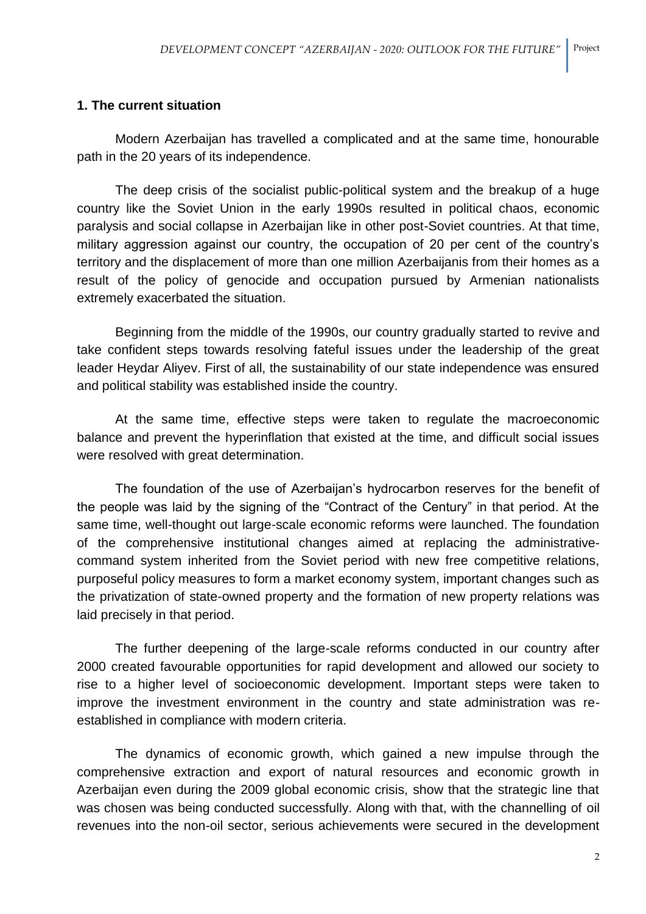#### **1. The current situation**

Modern Azerbaijan has travelled a complicated and at the same time, honourable path in the 20 years of its independence.

The deep crisis of the socialist public-political system and the breakup of a huge country like the Soviet Union in the early 1990s resulted in political chaos, economic paralysis and social collapse in Azerbaijan like in other post-Soviet countries. At that time, military aggression against our country, the occupation of 20 per cent of the country's territory and the displacement of more than one million Azerbaijanis from their homes as a result of the policy of genocide and occupation pursued by Armenian nationalists extremely exacerbated the situation.

Beginning from the middle of the 1990s, our country gradually started to revive and take confident steps towards resolving fateful issues under the leadership of the great leader Heydar Aliyev. First of all, the sustainability of our state independence was ensured and political stability was established inside the country.

At the same time, effective steps were taken to regulate the macroeconomic balance and prevent the hyperinflation that existed at the time, and difficult social issues were resolved with great determination.

The foundation of the use of Azerbaijan's hydrocarbon reserves for the benefit of the people was laid by the signing of the "Contract of the Century" in that period. At the same time, well-thought out large-scale economic reforms were launched. The foundation of the comprehensive institutional changes aimed at replacing the administrativecommand system inherited from the Soviet period with new free competitive relations, purposeful policy measures to form a market economy system, important changes such as the privatization of state-owned property and the formation of new property relations was laid precisely in that period.

The further deepening of the large-scale reforms conducted in our country after 2000 created favourable opportunities for rapid development and allowed our society to rise to a higher level of socioeconomic development. Important steps were taken to improve the investment environment in the country and state administration was reestablished in compliance with modern criteria.

The dynamics of economic growth, which gained a new impulse through the comprehensive extraction and export of natural resources and economic growth in Azerbaijan even during the 2009 global economic crisis, show that the strategic line that was chosen was being conducted successfully. Along with that, with the channelling of oil revenues into the non-oil sector, serious achievements were secured in the development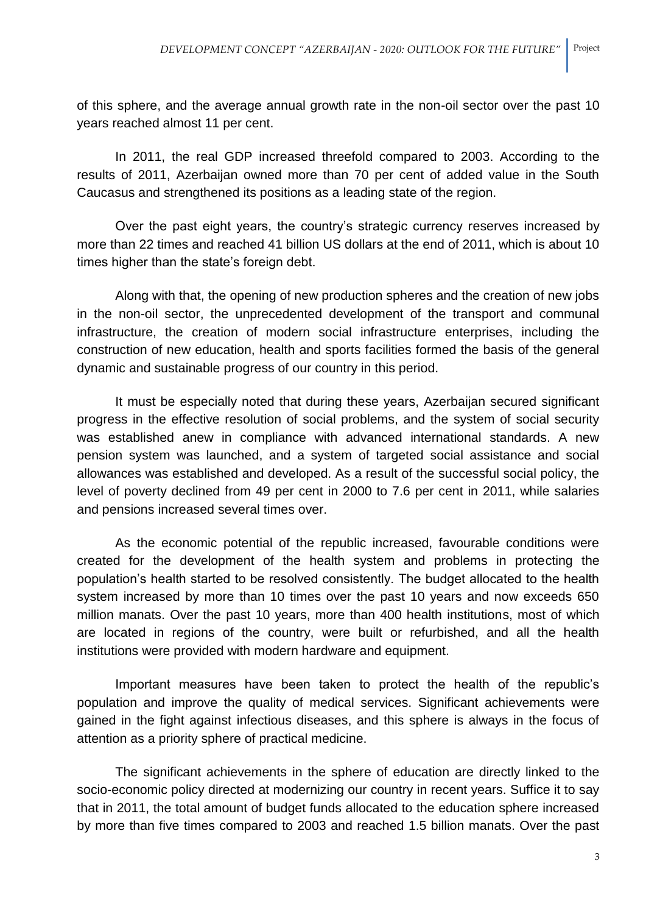of this sphere, and the average annual growth rate in the non-oil sector over the past 10 years reached almost 11 per cent.

In 2011, the real GDP increased threefold compared to 2003. According to the results of 2011, Azerbaijan owned more than 70 per cent of added value in the South Caucasus and strengthened its positions as a leading state of the region.

Over the past eight years, the country's strategic currency reserves increased by more than 22 times and reached 41 billion US dollars at the end of 2011, which is about 10 times higher than the state's foreign debt.

Along with that, the opening of new production spheres and the creation of new jobs in the non-oil sector, the unprecedented development of the transport and communal infrastructure, the creation of modern social infrastructure enterprises, including the construction of new education, health and sports facilities formed the basis of the general dynamic and sustainable progress of our country in this period.

It must be especially noted that during these years, Azerbaijan secured significant progress in the effective resolution of social problems, and the system of social security was established anew in compliance with advanced international standards. A new pension system was launched, and a system of targeted social assistance and social allowances was established and developed. As a result of the successful social policy, the level of poverty declined from 49 per cent in 2000 to 7.6 per cent in 2011, while salaries and pensions increased several times over.

As the economic potential of the republic increased, favourable conditions were created for the development of the health system and problems in protecting the population's health started to be resolved consistently. The budget allocated to the health system increased by more than 10 times over the past 10 years and now exceeds 650 million manats. Over the past 10 years, more than 400 health institutions, most of which are located in regions of the country, were built or refurbished, and all the health institutions were provided with modern hardware and equipment.

Important measures have been taken to protect the health of the republic's population and improve the quality of medical services. Significant achievements were gained in the fight against infectious diseases, and this sphere is always in the focus of attention as a priority sphere of practical medicine.

The significant achievements in the sphere of education are directly linked to the socio-economic policy directed at modernizing our country in recent years. Suffice it to say that in 2011, the total amount of budget funds allocated to the education sphere increased by more than five times compared to 2003 and reached 1.5 billion manats. Over the past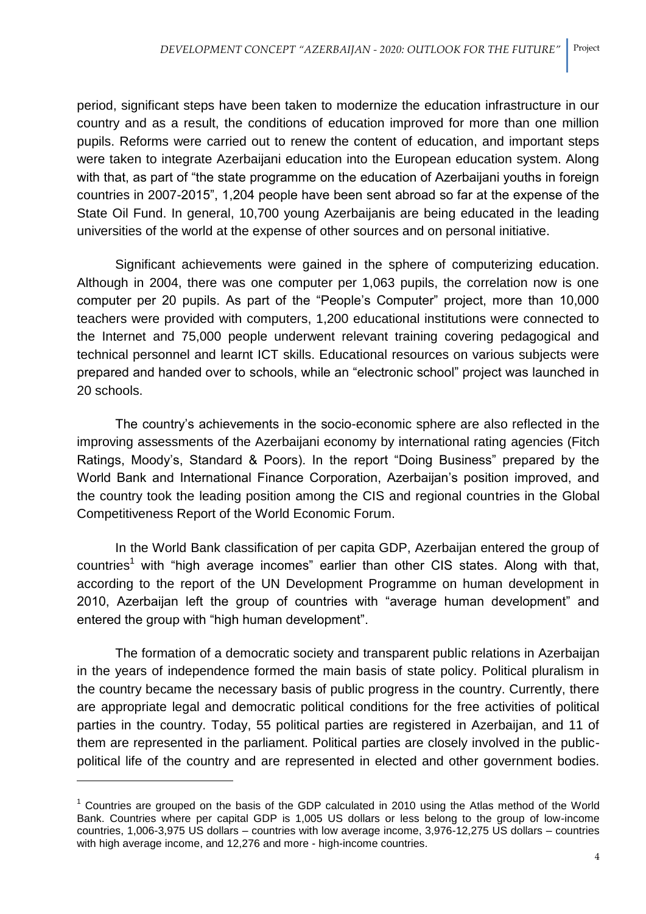period, significant steps have been taken to modernize the education infrastructure in our country and as a result, the conditions of education improved for more than one million pupils. Reforms were carried out to renew the content of education, and important steps were taken to integrate Azerbaijani education into the European education system. Along with that, as part of "the state programme on the education of Azerbaijani youths in foreign countries in 2007-2015", 1,204 people have been sent abroad so far at the expense of the State Oil Fund. In general, 10,700 young Azerbaijanis are being educated in the leading universities of the world at the expense of other sources and on personal initiative.

Significant achievements were gained in the sphere of computerizing education. Although in 2004, there was one computer per 1,063 pupils, the correlation now is one computer per 20 pupils. As part of the "People's Computer" project, more than 10,000 teachers were provided with computers, 1,200 educational institutions were connected to the Internet and 75,000 people underwent relevant training covering pedagogical and technical personnel and learnt ICT skills. Educational resources on various subjects were prepared and handed over to schools, while an "electronic school" project was launched in 20 schools.

The country's achievements in the socio-economic sphere are also reflected in the improving assessments of the Azerbaijani economy by international rating agencies (Fitch Ratings, Moody's, Standard & Poors). In the report "Doing Business" prepared by the World Bank and International Finance Corporation, Azerbaijan's position improved, and the country took the leading position among the CIS and regional countries in the Global Competitiveness Report of the World Economic Forum.

In the World Bank classification of per capita GDP, Azerbaijan entered the group of  $countries<sup>1</sup>$  with "high average incomes" earlier than other CIS states. Along with that, according to the report of the UN Development Programme on human development in 2010, Azerbaijan left the group of countries with "average human development" and entered the group with "high human development".

The formation of a democratic society and transparent public relations in Azerbaijan in the years of independence formed the main basis of state policy. Political pluralism in the country became the necessary basis of public progress in the country. Currently, there are appropriate legal and democratic political conditions for the free activities of political parties in the country. Today, 55 political parties are registered in Azerbaijan, and 11 of them are represented in the parliament. Political parties are closely involved in the publicpolitical life of the country and are represented in elected and other government bodies.

 $\overline{\phantom{a}}$ 

 $1$  Countries are grouped on the basis of the GDP calculated in 2010 using the Atlas method of the World Bank. Countries where per capital GDP is 1,005 US dollars or less belong to the group of low-income countries, 1,006-3,975 US dollars – countries with low average income, 3,976-12,275 US dollars – countries with high average income, and 12,276 and more - high-income countries.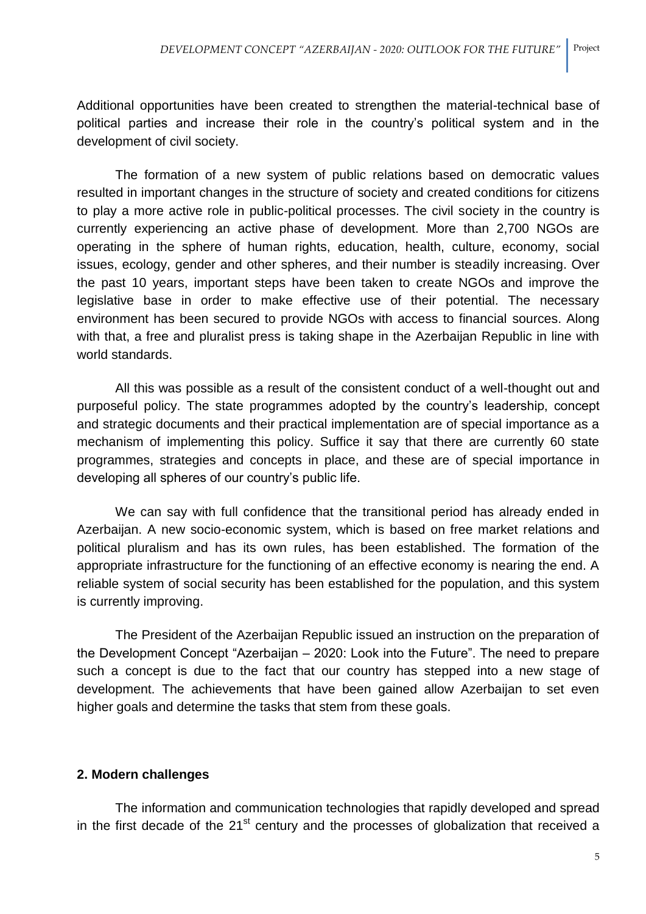Additional opportunities have been created to strengthen the material-technical base of political parties and increase their role in the country's political system and in the development of civil society.

The formation of a new system of public relations based on democratic values resulted in important changes in the structure of society and created conditions for citizens to play a more active role in public-political processes. The civil society in the country is currently experiencing an active phase of development. More than 2,700 NGOs are operating in the sphere of human rights, education, health, culture, economy, social issues, ecology, gender and other spheres, and their number is steadily increasing. Over the past 10 years, important steps have been taken to create NGOs and improve the legislative base in order to make effective use of their potential. The necessary environment has been secured to provide NGOs with access to financial sources. Along with that, a free and pluralist press is taking shape in the Azerbaijan Republic in line with world standards.

All this was possible as a result of the consistent conduct of a well-thought out and purposeful policy. The state programmes adopted by the country's leadership, concept and strategic documents and their practical implementation are of special importance as a mechanism of implementing this policy. Suffice it say that there are currently 60 state programmes, strategies and concepts in place, and these are of special importance in developing all spheres of our country's public life.

We can say with full confidence that the transitional period has already ended in Azerbaijan. A new socio-economic system, which is based on free market relations and political pluralism and has its own rules, has been established. The formation of the appropriate infrastructure for the functioning of an effective economy is nearing the end. A reliable system of social security has been established for the population, and this system is currently improving.

The President of the Azerbaijan Republic issued an instruction on the preparation of the Development Concept "Azerbaijan – 2020: Look into the Future". The need to prepare such a concept is due to the fact that our country has stepped into a new stage of development. The achievements that have been gained allow Azerbaijan to set even higher goals and determine the tasks that stem from these goals.

# **2. Modern challenges**

The information and communication technologies that rapidly developed and spread in the first decade of the  $21<sup>st</sup>$  century and the processes of globalization that received a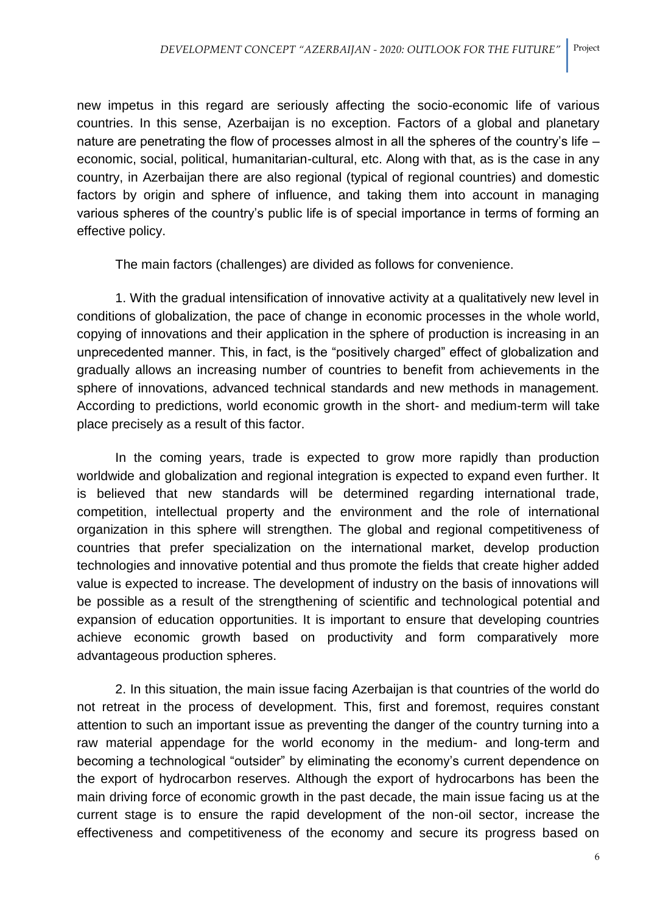new impetus in this regard are seriously affecting the socio-economic life of various countries. In this sense, Azerbaijan is no exception. Factors of a global and planetary nature are penetrating the flow of processes almost in all the spheres of the country's life – economic, social, political, humanitarian-cultural, etc. Along with that, as is the case in any country, in Azerbaijan there are also regional (typical of regional countries) and domestic factors by origin and sphere of influence, and taking them into account in managing various spheres of the country's public life is of special importance in terms of forming an effective policy.

The main factors (challenges) are divided as follows for convenience.

1. With the gradual intensification of innovative activity at a qualitatively new level in conditions of globalization, the pace of change in economic processes in the whole world, copying of innovations and their application in the sphere of production is increasing in an unprecedented manner. This, in fact, is the "positively charged" effect of globalization and gradually allows an increasing number of countries to benefit from achievements in the sphere of innovations, advanced technical standards and new methods in management. According to predictions, world economic growth in the short- and medium-term will take place precisely as a result of this factor.

In the coming years, trade is expected to grow more rapidly than production worldwide and globalization and regional integration is expected to expand even further. It is believed that new standards will be determined regarding international trade, competition, intellectual property and the environment and the role of international organization in this sphere will strengthen. The global and regional competitiveness of countries that prefer specialization on the international market, develop production technologies and innovative potential and thus promote the fields that create higher added value is expected to increase. The development of industry on the basis of innovations will be possible as a result of the strengthening of scientific and technological potential and expansion of education opportunities. It is important to ensure that developing countries achieve economic growth based on productivity and form comparatively more advantageous production spheres.

2. In this situation, the main issue facing Azerbaijan is that countries of the world do not retreat in the process of development. This, first and foremost, requires constant attention to such an important issue as preventing the danger of the country turning into a raw material appendage for the world economy in the medium- and long-term and becoming a technological "outsider" by eliminating the economy's current dependence on the export of hydrocarbon reserves. Although the export of hydrocarbons has been the main driving force of economic growth in the past decade, the main issue facing us at the current stage is to ensure the rapid development of the non-oil sector, increase the effectiveness and competitiveness of the economy and secure its progress based on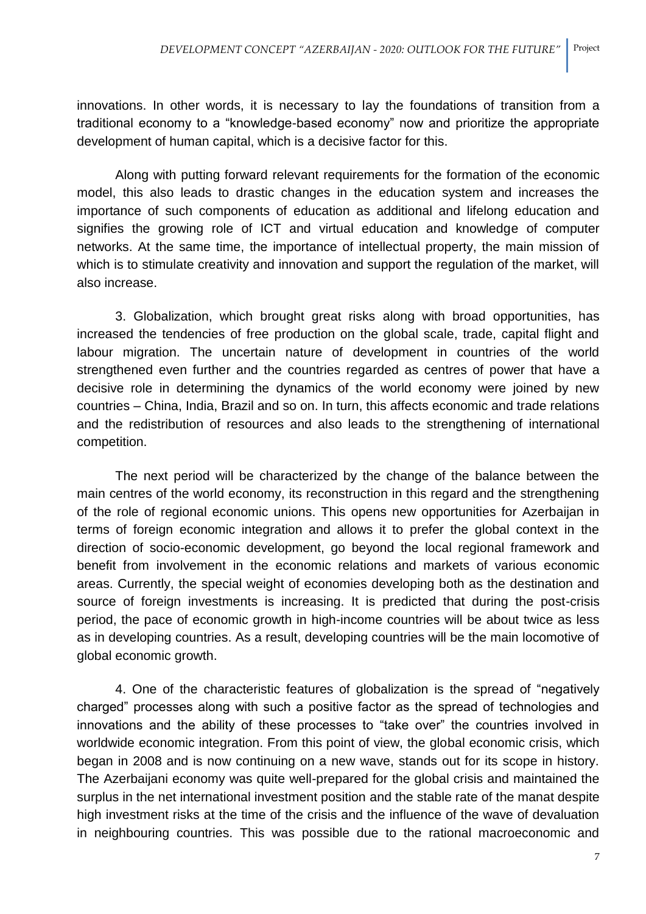innovations. In other words, it is necessary to lay the foundations of transition from a traditional economy to a "knowledge-based economy" now and prioritize the appropriate development of human capital, which is a decisive factor for this.

Along with putting forward relevant requirements for the formation of the economic model, this also leads to drastic changes in the education system and increases the importance of such components of education as additional and lifelong education and signifies the growing role of ICT and virtual education and knowledge of computer networks. At the same time, the importance of intellectual property, the main mission of which is to stimulate creativity and innovation and support the regulation of the market, will also increase.

3. Globalization, which brought great risks along with broad opportunities, has increased the tendencies of free production on the global scale, trade, capital flight and labour migration. The uncertain nature of development in countries of the world strengthened even further and the countries regarded as centres of power that have a decisive role in determining the dynamics of the world economy were joined by new countries – China, India, Brazil and so on. In turn, this affects economic and trade relations and the redistribution of resources and also leads to the strengthening of international competition.

The next period will be characterized by the change of the balance between the main centres of the world economy, its reconstruction in this regard and the strengthening of the role of regional economic unions. This opens new opportunities for Azerbaijan in terms of foreign economic integration and allows it to prefer the global context in the direction of socio-economic development, go beyond the local regional framework and benefit from involvement in the economic relations and markets of various economic areas. Currently, the special weight of economies developing both as the destination and source of foreign investments is increasing. It is predicted that during the post-crisis period, the pace of economic growth in high-income countries will be about twice as less as in developing countries. As a result, developing countries will be the main locomotive of global economic growth.

4. One of the characteristic features of globalization is the spread of "negatively charged" processes along with such a positive factor as the spread of technologies and innovations and the ability of these processes to "take over" the countries involved in worldwide economic integration. From this point of view, the global economic crisis, which began in 2008 and is now continuing on a new wave, stands out for its scope in history. The Azerbaijani economy was quite well-prepared for the global crisis and maintained the surplus in the net international investment position and the stable rate of the manat despite high investment risks at the time of the crisis and the influence of the wave of devaluation in neighbouring countries. This was possible due to the rational macroeconomic and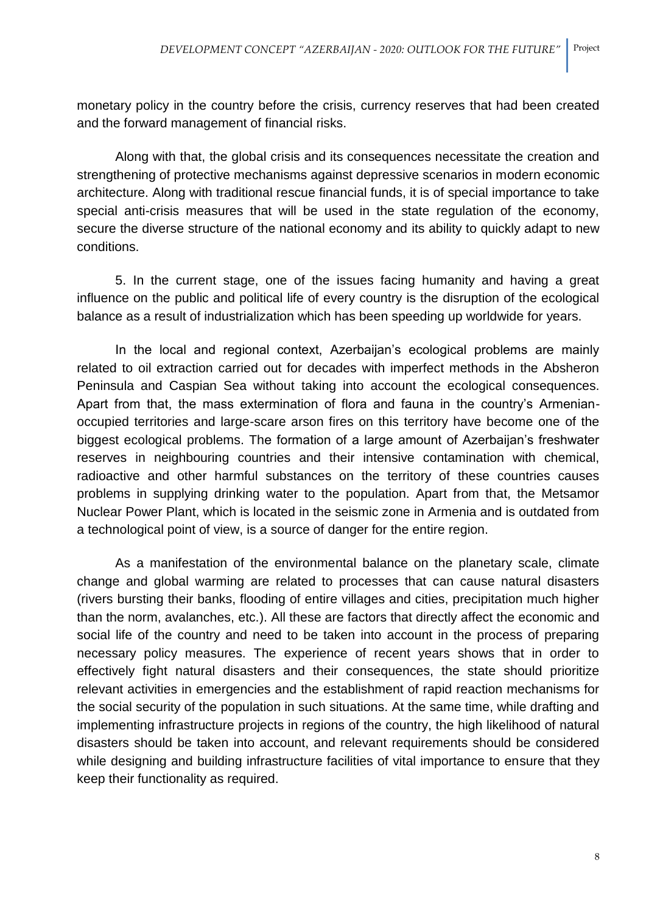monetary policy in the country before the crisis, currency reserves that had been created and the forward management of financial risks.

Along with that, the global crisis and its consequences necessitate the creation and strengthening of protective mechanisms against depressive scenarios in modern economic architecture. Along with traditional rescue financial funds, it is of special importance to take special anti-crisis measures that will be used in the state regulation of the economy, secure the diverse structure of the national economy and its ability to quickly adapt to new conditions.

5. In the current stage, one of the issues facing humanity and having a great influence on the public and political life of every country is the disruption of the ecological balance as a result of industrialization which has been speeding up worldwide for years.

In the local and regional context, Azerbaijan's ecological problems are mainly related to oil extraction carried out for decades with imperfect methods in the Absheron Peninsula and Caspian Sea without taking into account the ecological consequences. Apart from that, the mass extermination of flora and fauna in the country's Armenianoccupied territories and large-scare arson fires on this territory have become one of the biggest ecological problems. The formation of a large amount of Azerbaijan's freshwater reserves in neighbouring countries and their intensive contamination with chemical, radioactive and other harmful substances on the territory of these countries causes problems in supplying drinking water to the population. Apart from that, the Metsamor Nuclear Power Plant, which is located in the seismic zone in Armenia and is outdated from a technological point of view, is a source of danger for the entire region.

As a manifestation of the environmental balance on the planetary scale, climate change and global warming are related to processes that can cause natural disasters (rivers bursting their banks, flooding of entire villages and cities, precipitation much higher than the norm, avalanches, etc.). All these are factors that directly affect the economic and social life of the country and need to be taken into account in the process of preparing necessary policy measures. The experience of recent years shows that in order to effectively fight natural disasters and their consequences, the state should prioritize relevant activities in emergencies and the establishment of rapid reaction mechanisms for the social security of the population in such situations. At the same time, while drafting and implementing infrastructure projects in regions of the country, the high likelihood of natural disasters should be taken into account, and relevant requirements should be considered while designing and building infrastructure facilities of vital importance to ensure that they keep their functionality as required.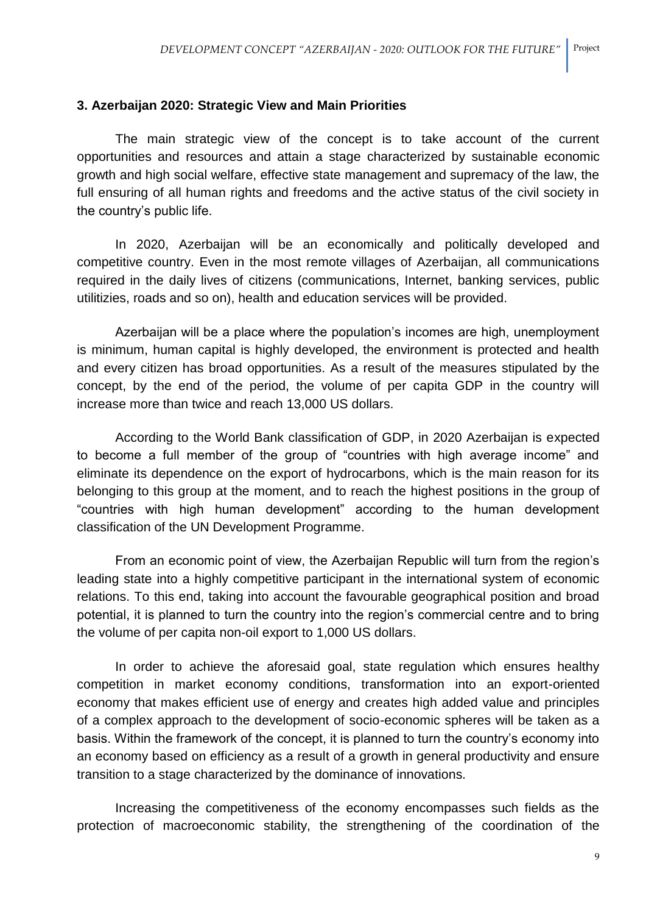## **3. Azerbaijan 2020: Strategic View and Main Priorities**

The main strategic view of the concept is to take account of the current opportunities and resources and attain a stage characterized by sustainable economic growth and high social welfare, effective state management and supremacy of the law, the full ensuring of all human rights and freedoms and the active status of the civil society in the country's public life.

In 2020, Azerbaijan will be an economically and politically developed and competitive country. Even in the most remote villages of Azerbaijan, all communications required in the daily lives of citizens (communications, Internet, banking services, public utilitizies, roads and so on), health and education services will be provided.

Azerbaijan will be a place where the population's incomes are high, unemployment is minimum, human capital is highly developed, the environment is protected and health and every citizen has broad opportunities. As a result of the measures stipulated by the concept, by the end of the period, the volume of per capita GDP in the country will increase more than twice and reach 13,000 US dollars.

According to the World Bank classification of GDP, in 2020 Azerbaijan is expected to become a full member of the group of "countries with high average income" and eliminate its dependence on the export of hydrocarbons, which is the main reason for its belonging to this group at the moment, and to reach the highest positions in the group of "countries with high human development" according to the human development classification of the UN Development Programme.

From an economic point of view, the Azerbaijan Republic will turn from the region's leading state into a highly competitive participant in the international system of economic relations. To this end, taking into account the favourable geographical position and broad potential, it is planned to turn the country into the region's commercial centre and to bring the volume of per capita non-oil export to 1,000 US dollars.

In order to achieve the aforesaid goal, state regulation which ensures healthy competition in market economy conditions, transformation into an export-oriented economy that makes efficient use of energy and creates high added value and principles of a complex approach to the development of socio-economic spheres will be taken as a basis. Within the framework of the concept, it is planned to turn the country's economy into an economy based on efficiency as a result of a growth in general productivity and ensure transition to a stage characterized by the dominance of innovations.

Increasing the competitiveness of the economy encompasses such fields as the protection of macroeconomic stability, the strengthening of the coordination of the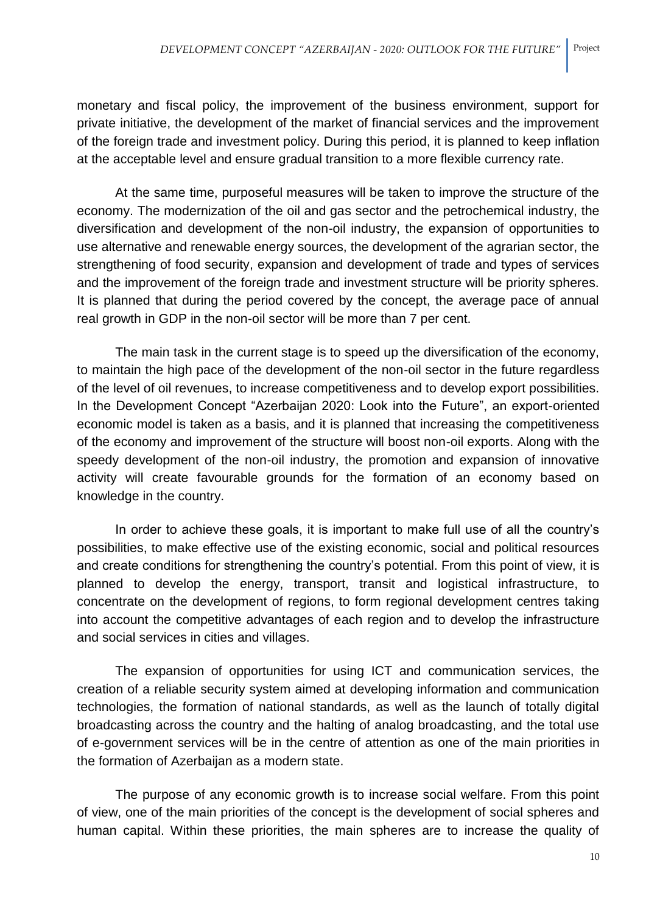monetary and fiscal policy, the improvement of the business environment, support for private initiative, the development of the market of financial services and the improvement of the foreign trade and investment policy. During this period, it is planned to keep inflation at the acceptable level and ensure gradual transition to a more flexible currency rate.

At the same time, purposeful measures will be taken to improve the structure of the economy. The modernization of the oil and gas sector and the petrochemical industry, the diversification and development of the non-oil industry, the expansion of opportunities to use alternative and renewable energy sources, the development of the agrarian sector, the strengthening of food security, expansion and development of trade and types of services and the improvement of the foreign trade and investment structure will be priority spheres. It is planned that during the period covered by the concept, the average pace of annual real growth in GDP in the non-oil sector will be more than 7 per cent.

The main task in the current stage is to speed up the diversification of the economy, to maintain the high pace of the development of the non-oil sector in the future regardless of the level of oil revenues, to increase competitiveness and to develop export possibilities. In the Development Concept "Azerbaijan 2020: Look into the Future", an export-oriented economic model is taken as a basis, and it is planned that increasing the competitiveness of the economy and improvement of the structure will boost non-oil exports. Along with the speedy development of the non-oil industry, the promotion and expansion of innovative activity will create favourable grounds for the formation of an economy based on knowledge in the country.

In order to achieve these goals, it is important to make full use of all the country's possibilities, to make effective use of the existing economic, social and political resources and create conditions for strengthening the country's potential. From this point of view, it is planned to develop the energy, transport, transit and logistical infrastructure, to concentrate on the development of regions, to form regional development centres taking into account the competitive advantages of each region and to develop the infrastructure and social services in cities and villages.

The expansion of opportunities for using ICT and communication services, the creation of a reliable security system aimed at developing information and communication technologies, the formation of national standards, as well as the launch of totally digital broadcasting across the country and the halting of analog broadcasting, and the total use of e-government services will be in the centre of attention as one of the main priorities in the formation of Azerbaijan as a modern state.

The purpose of any economic growth is to increase social welfare. From this point of view, one of the main priorities of the concept is the development of social spheres and human capital. Within these priorities, the main spheres are to increase the quality of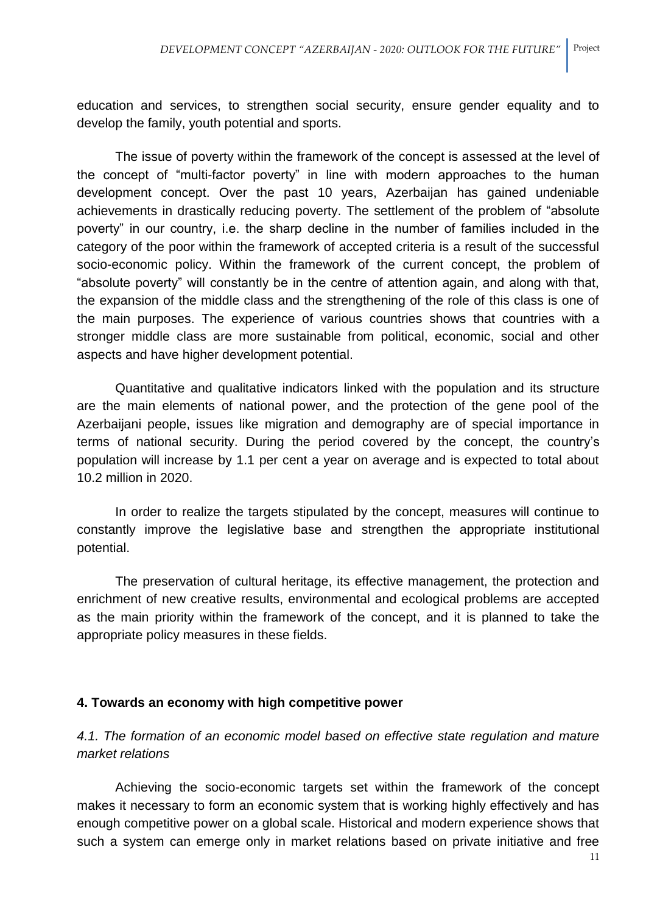education and services, to strengthen social security, ensure gender equality and to develop the family, youth potential and sports.

The issue of poverty within the framework of the concept is assessed at the level of the concept of "multi-factor poverty" in line with modern approaches to the human development concept. Over the past 10 years, Azerbaijan has gained undeniable achievements in drastically reducing poverty. The settlement of the problem of "absolute poverty" in our country, i.e. the sharp decline in the number of families included in the category of the poor within the framework of accepted criteria is a result of the successful socio-economic policy. Within the framework of the current concept, the problem of "absolute poverty" will constantly be in the centre of attention again, and along with that, the expansion of the middle class and the strengthening of the role of this class is one of the main purposes. The experience of various countries shows that countries with a stronger middle class are more sustainable from political, economic, social and other aspects and have higher development potential.

Quantitative and qualitative indicators linked with the population and its structure are the main elements of national power, and the protection of the gene pool of the Azerbaijani people, issues like migration and demography are of special importance in terms of national security. During the period covered by the concept, the country's population will increase by 1.1 per cent a year on average and is expected to total about 10.2 million in 2020.

In order to realize the targets stipulated by the concept, measures will continue to constantly improve the legislative base and strengthen the appropriate institutional potential.

The preservation of cultural heritage, its effective management, the protection and enrichment of new creative results, environmental and ecological problems are accepted as the main priority within the framework of the concept, and it is planned to take the appropriate policy measures in these fields.

# **4. Towards an economy with high competitive power**

*4.1. The formation of an economic model based on effective state regulation and mature market relations*

Achieving the socio-economic targets set within the framework of the concept makes it necessary to form an economic system that is working highly effectively and has enough competitive power on a global scale. Historical and modern experience shows that such a system can emerge only in market relations based on private initiative and free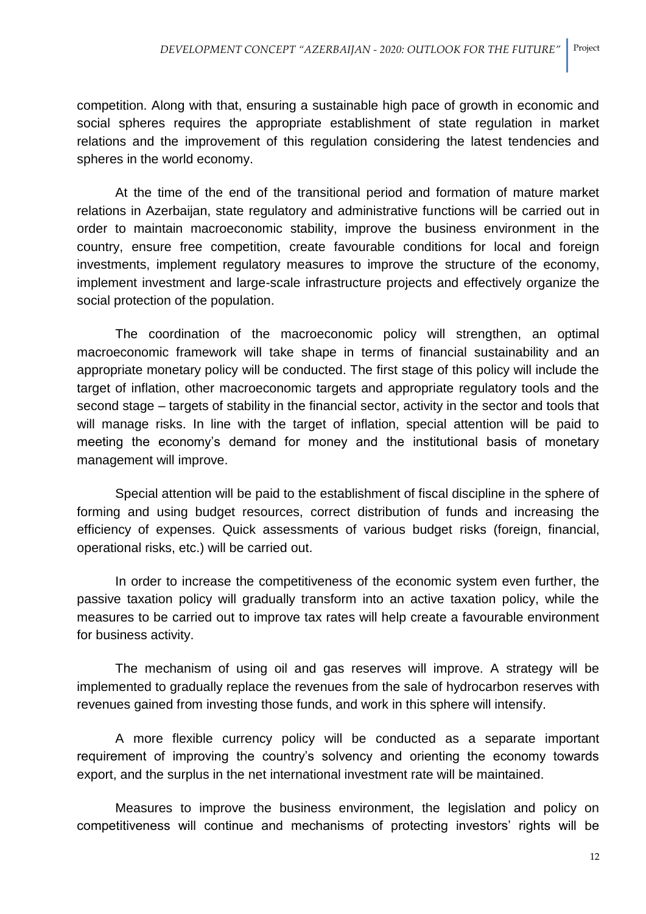competition. Along with that, ensuring a sustainable high pace of growth in economic and social spheres requires the appropriate establishment of state regulation in market relations and the improvement of this regulation considering the latest tendencies and spheres in the world economy.

At the time of the end of the transitional period and formation of mature market relations in Azerbaijan, state regulatory and administrative functions will be carried out in order to maintain macroeconomic stability, improve the business environment in the country, ensure free competition, create favourable conditions for local and foreign investments, implement regulatory measures to improve the structure of the economy, implement investment and large-scale infrastructure projects and effectively organize the social protection of the population.

The coordination of the macroeconomic policy will strengthen, an optimal macroeconomic framework will take shape in terms of financial sustainability and an appropriate monetary policy will be conducted. The first stage of this policy will include the target of inflation, other macroeconomic targets and appropriate regulatory tools and the second stage – targets of stability in the financial sector, activity in the sector and tools that will manage risks. In line with the target of inflation, special attention will be paid to meeting the economy's demand for money and the institutional basis of monetary management will improve.

Special attention will be paid to the establishment of fiscal discipline in the sphere of forming and using budget resources, correct distribution of funds and increasing the efficiency of expenses. Quick assessments of various budget risks (foreign, financial, operational risks, etc.) will be carried out.

In order to increase the competitiveness of the economic system even further, the passive taxation policy will gradually transform into an active taxation policy, while the measures to be carried out to improve tax rates will help create a favourable environment for business activity.

The mechanism of using oil and gas reserves will improve. A strategy will be implemented to gradually replace the revenues from the sale of hydrocarbon reserves with revenues gained from investing those funds, and work in this sphere will intensify.

A more flexible currency policy will be conducted as a separate important requirement of improving the country's solvency and orienting the economy towards export, and the surplus in the net international investment rate will be maintained.

Measures to improve the business environment, the legislation and policy on competitiveness will continue and mechanisms of protecting investors' rights will be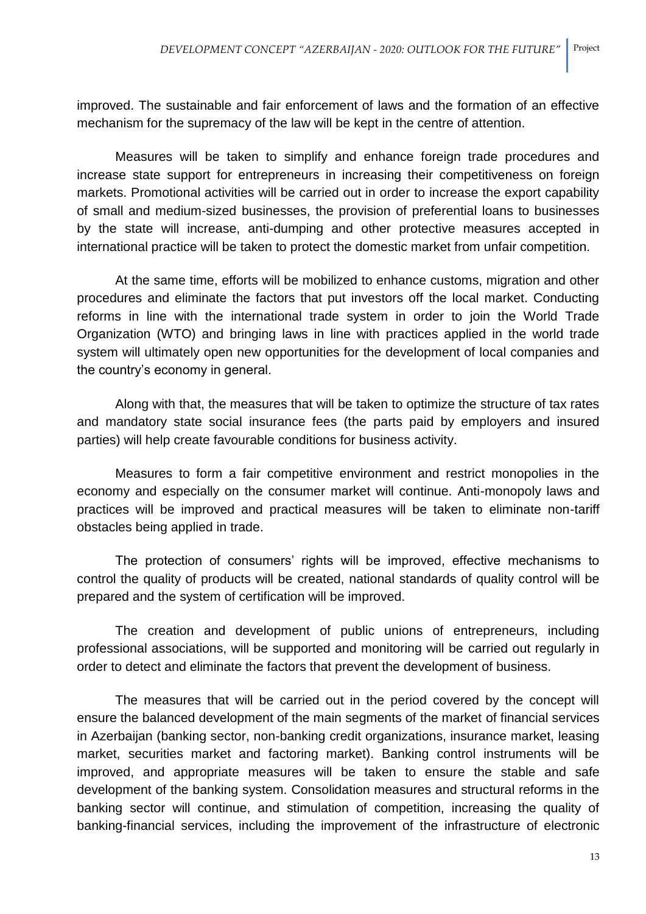improved. The sustainable and fair enforcement of laws and the formation of an effective mechanism for the supremacy of the law will be kept in the centre of attention.

Measures will be taken to simplify and enhance foreign trade procedures and increase state support for entrepreneurs in increasing their competitiveness on foreign markets. Promotional activities will be carried out in order to increase the export capability of small and medium-sized businesses, the provision of preferential loans to businesses by the state will increase, anti-dumping and other protective measures accepted in international practice will be taken to protect the domestic market from unfair competition.

At the same time, efforts will be mobilized to enhance customs, migration and other procedures and eliminate the factors that put investors off the local market. Conducting reforms in line with the international trade system in order to join the World Trade Organization (WTO) and bringing laws in line with practices applied in the world trade system will ultimately open new opportunities for the development of local companies and the country's economy in general.

Along with that, the measures that will be taken to optimize the structure of tax rates and mandatory state social insurance fees (the parts paid by employers and insured parties) will help create favourable conditions for business activity.

Measures to form a fair competitive environment and restrict monopolies in the economy and especially on the consumer market will continue. Anti-monopoly laws and practices will be improved and practical measures will be taken to eliminate non-tariff obstacles being applied in trade.

The protection of consumers' rights will be improved, effective mechanisms to control the quality of products will be created, national standards of quality control will be prepared and the system of certification will be improved.

The creation and development of public unions of entrepreneurs, including professional associations, will be supported and monitoring will be carried out regularly in order to detect and eliminate the factors that prevent the development of business.

The measures that will be carried out in the period covered by the concept will ensure the balanced development of the main segments of the market of financial services in Azerbaijan (banking sector, non-banking credit organizations, insurance market, leasing market, securities market and factoring market). Banking control instruments will be improved, and appropriate measures will be taken to ensure the stable and safe development of the banking system. Consolidation measures and structural reforms in the banking sector will continue, and stimulation of competition, increasing the quality of banking-financial services, including the improvement of the infrastructure of electronic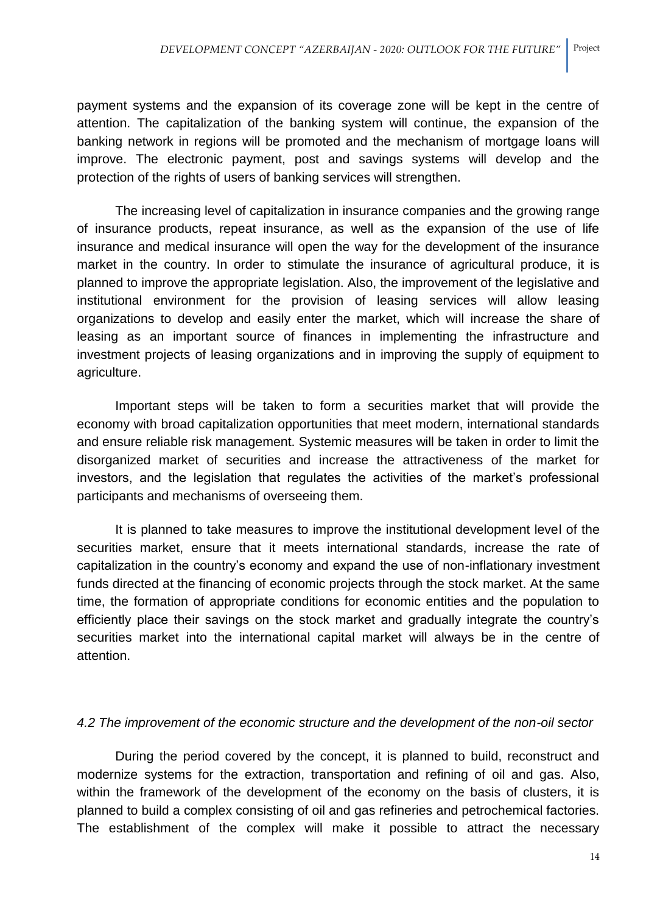payment systems and the expansion of its coverage zone will be kept in the centre of attention. The capitalization of the banking system will continue, the expansion of the banking network in regions will be promoted and the mechanism of mortgage loans will improve. The electronic payment, post and savings systems will develop and the protection of the rights of users of banking services will strengthen.

The increasing level of capitalization in insurance companies and the growing range of insurance products, repeat insurance, as well as the expansion of the use of life insurance and medical insurance will open the way for the development of the insurance market in the country. In order to stimulate the insurance of agricultural produce, it is planned to improve the appropriate legislation. Also, the improvement of the legislative and institutional environment for the provision of leasing services will allow leasing organizations to develop and easily enter the market, which will increase the share of leasing as an important source of finances in implementing the infrastructure and investment projects of leasing organizations and in improving the supply of equipment to agriculture.

Important steps will be taken to form a securities market that will provide the economy with broad capitalization opportunities that meet modern, international standards and ensure reliable risk management. Systemic measures will be taken in order to limit the disorganized market of securities and increase the attractiveness of the market for investors, and the legislation that regulates the activities of the market's professional participants and mechanisms of overseeing them.

It is planned to take measures to improve the institutional development level of the securities market, ensure that it meets international standards, increase the rate of capitalization in the country's economy and expand the use of non-inflationary investment funds directed at the financing of economic projects through the stock market. At the same time, the formation of appropriate conditions for economic entities and the population to efficiently place their savings on the stock market and gradually integrate the country's securities market into the international capital market will always be in the centre of attention.

### *4.2 The improvement of the economic structure and the development of the non-oil sector*

During the period covered by the concept, it is planned to build, reconstruct and modernize systems for the extraction, transportation and refining of oil and gas. Also, within the framework of the development of the economy on the basis of clusters, it is planned to build a complex consisting of oil and gas refineries and petrochemical factories. The establishment of the complex will make it possible to attract the necessary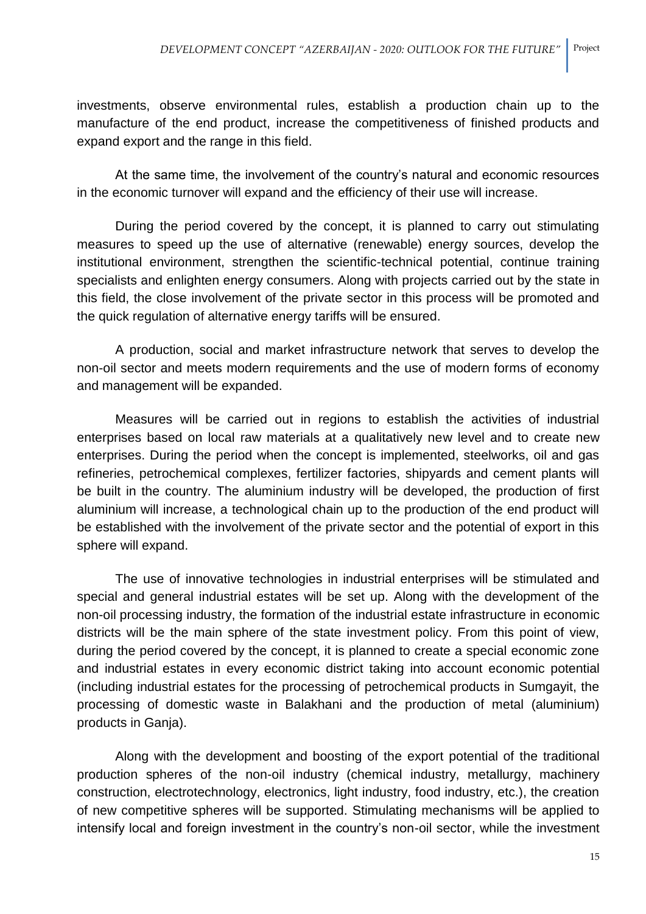investments, observe environmental rules, establish a production chain up to the manufacture of the end product, increase the competitiveness of finished products and expand export and the range in this field.

At the same time, the involvement of the country's natural and economic resources in the economic turnover will expand and the efficiency of their use will increase.

During the period covered by the concept, it is planned to carry out stimulating measures to speed up the use of alternative (renewable) energy sources, develop the institutional environment, strengthen the scientific-technical potential, continue training specialists and enlighten energy consumers. Along with projects carried out by the state in this field, the close involvement of the private sector in this process will be promoted and the quick regulation of alternative energy tariffs will be ensured.

A production, social and market infrastructure network that serves to develop the non-oil sector and meets modern requirements and the use of modern forms of economy and management will be expanded.

Measures will be carried out in regions to establish the activities of industrial enterprises based on local raw materials at a qualitatively new level and to create new enterprises. During the period when the concept is implemented, steelworks, oil and gas refineries, petrochemical complexes, fertilizer factories, shipyards and cement plants will be built in the country. The aluminium industry will be developed, the production of first aluminium will increase, a technological chain up to the production of the end product will be established with the involvement of the private sector and the potential of export in this sphere will expand.

The use of innovative technologies in industrial enterprises will be stimulated and special and general industrial estates will be set up. Along with the development of the non-oil processing industry, the formation of the industrial estate infrastructure in economic districts will be the main sphere of the state investment policy. From this point of view, during the period covered by the concept, it is planned to create a special economic zone and industrial estates in every economic district taking into account economic potential (including industrial estates for the processing of petrochemical products in Sumgayit, the processing of domestic waste in Balakhani and the production of metal (aluminium) products in Ganja).

Along with the development and boosting of the export potential of the traditional production spheres of the non-oil industry (chemical industry, metallurgy, machinery construction, electrotechnology, electronics, light industry, food industry, etc.), the creation of new competitive spheres will be supported. Stimulating mechanisms will be applied to intensify local and foreign investment in the country's non-oil sector, while the investment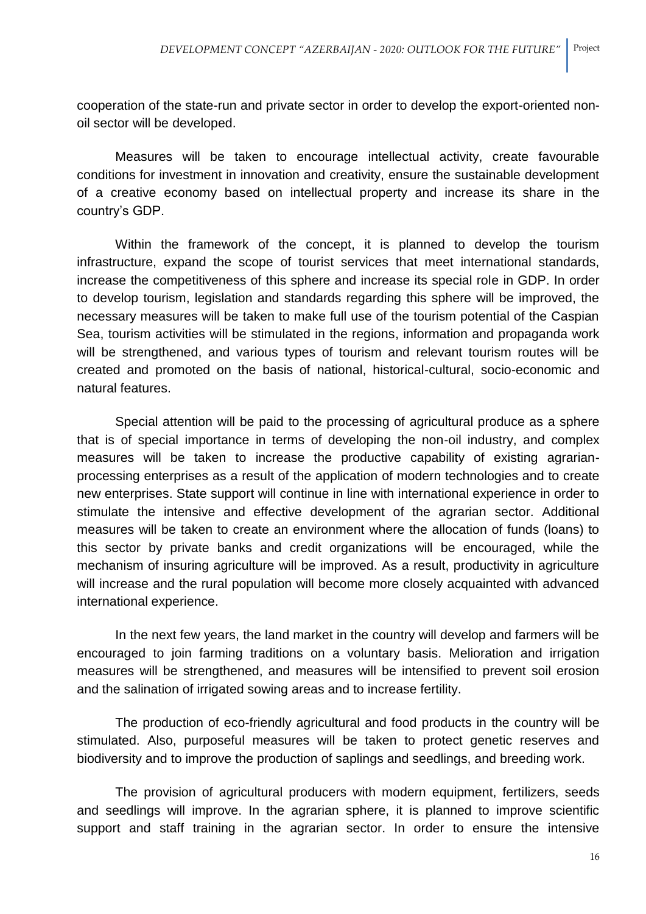cooperation of the state-run and private sector in order to develop the export-oriented nonoil sector will be developed.

Measures will be taken to encourage intellectual activity, create favourable conditions for investment in innovation and creativity, ensure the sustainable development of a creative economy based on intellectual property and increase its share in the country's GDP.

Within the framework of the concept, it is planned to develop the tourism infrastructure, expand the scope of tourist services that meet international standards, increase the competitiveness of this sphere and increase its special role in GDP. In order to develop tourism, legislation and standards regarding this sphere will be improved, the necessary measures will be taken to make full use of the tourism potential of the Caspian Sea, tourism activities will be stimulated in the regions, information and propaganda work will be strengthened, and various types of tourism and relevant tourism routes will be created and promoted on the basis of national, historical-cultural, socio-economic and natural features.

Special attention will be paid to the processing of agricultural produce as a sphere that is of special importance in terms of developing the non-oil industry, and complex measures will be taken to increase the productive capability of existing agrarianprocessing enterprises as a result of the application of modern technologies and to create new enterprises. State support will continue in line with international experience in order to stimulate the intensive and effective development of the agrarian sector. Additional measures will be taken to create an environment where the allocation of funds (loans) to this sector by private banks and credit organizations will be encouraged, while the mechanism of insuring agriculture will be improved. As a result, productivity in agriculture will increase and the rural population will become more closely acquainted with advanced international experience.

In the next few years, the land market in the country will develop and farmers will be encouraged to join farming traditions on a voluntary basis. Melioration and irrigation measures will be strengthened, and measures will be intensified to prevent soil erosion and the salination of irrigated sowing areas and to increase fertility.

The production of eco-friendly agricultural and food products in the country will be stimulated. Also, purposeful measures will be taken to protect genetic reserves and biodiversity and to improve the production of saplings and seedlings, and breeding work.

The provision of agricultural producers with modern equipment, fertilizers, seeds and seedlings will improve. In the agrarian sphere, it is planned to improve scientific support and staff training in the agrarian sector. In order to ensure the intensive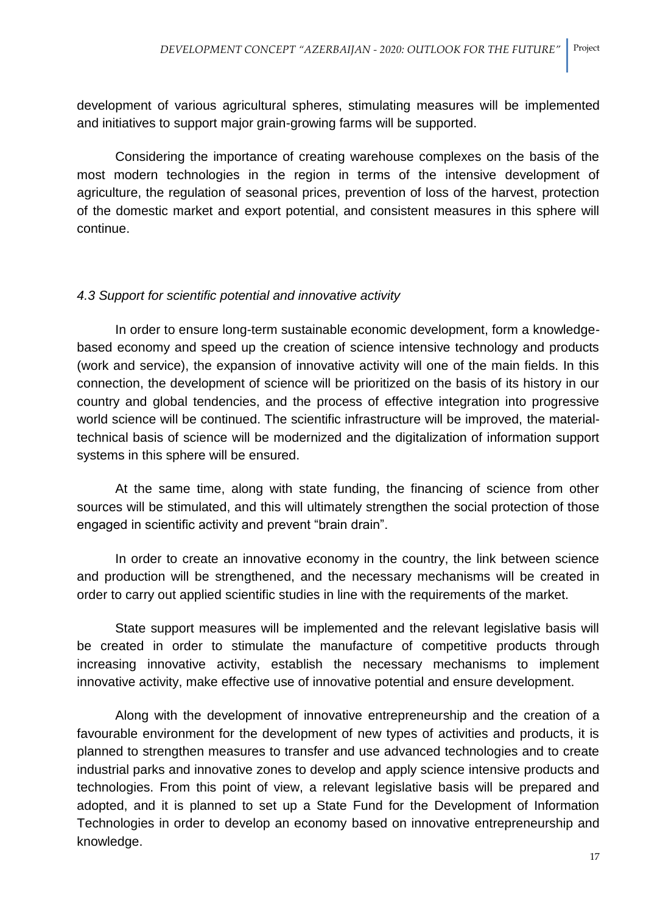development of various agricultural spheres, stimulating measures will be implemented and initiatives to support major grain-growing farms will be supported.

Considering the importance of creating warehouse complexes on the basis of the most modern technologies in the region in terms of the intensive development of agriculture, the regulation of seasonal prices, prevention of loss of the harvest, protection of the domestic market and export potential, and consistent measures in this sphere will continue.

### *4.3 Support for scientific potential and innovative activity*

In order to ensure long-term sustainable economic development, form a knowledgebased economy and speed up the creation of science intensive technology and products (work and service), the expansion of innovative activity will one of the main fields. In this connection, the development of science will be prioritized on the basis of its history in our country and global tendencies, and the process of effective integration into progressive world science will be continued. The scientific infrastructure will be improved, the materialtechnical basis of science will be modernized and the digitalization of information support systems in this sphere will be ensured.

At the same time, along with state funding, the financing of science from other sources will be stimulated, and this will ultimately strengthen the social protection of those engaged in scientific activity and prevent "brain drain".

In order to create an innovative economy in the country, the link between science and production will be strengthened, and the necessary mechanisms will be created in order to carry out applied scientific studies in line with the requirements of the market.

State support measures will be implemented and the relevant legislative basis will be created in order to stimulate the manufacture of competitive products through increasing innovative activity, establish the necessary mechanisms to implement innovative activity, make effective use of innovative potential and ensure development.

Along with the development of innovative entrepreneurship and the creation of a favourable environment for the development of new types of activities and products, it is planned to strengthen measures to transfer and use advanced technologies and to create industrial parks and innovative zones to develop and apply science intensive products and technologies. From this point of view, a relevant legislative basis will be prepared and adopted, and it is planned to set up a State Fund for the Development of Information Technologies in order to develop an economy based on innovative entrepreneurship and knowledge.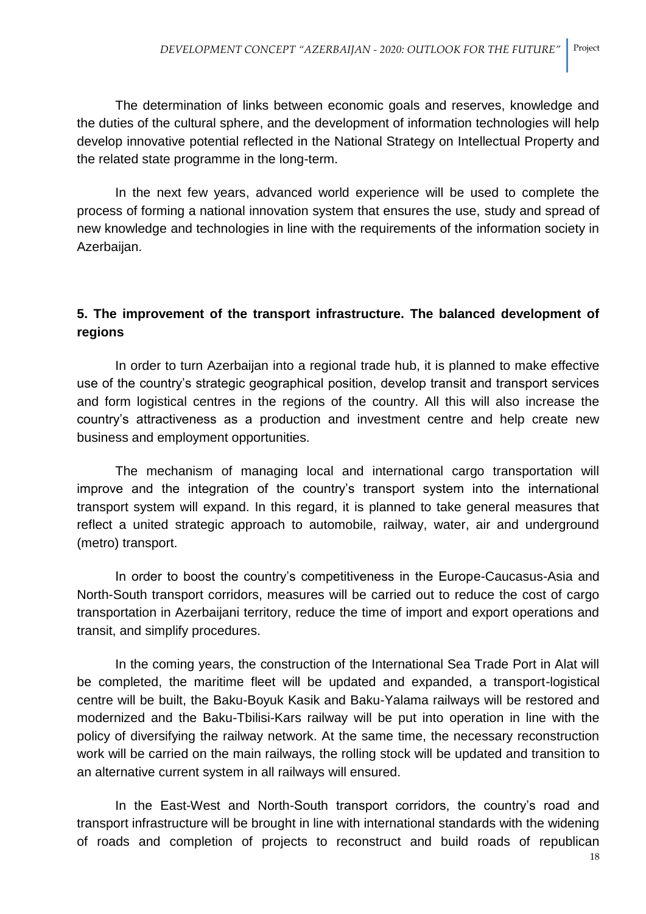The determination of links between economic goals and reserves, knowledge and the duties of the cultural sphere, and the development of information technologies will help develop innovative potential reflected in the National Strategy on Intellectual Property and the related state programme in the long-term.

In the next few years, advanced world experience will be used to complete the process of forming a national innovation system that ensures the use, study and spread of new knowledge and technologies in line with the requirements of the information society in Azerbaijan.

# **5. The improvement of the transport infrastructure. The balanced development of regions**

In order to turn Azerbaijan into a regional trade hub, it is planned to make effective use of the country's strategic geographical position, develop transit and transport services and form logistical centres in the regions of the country. All this will also increase the country's attractiveness as a production and investment centre and help create new business and employment opportunities.

The mechanism of managing local and international cargo transportation will improve and the integration of the country's transport system into the international transport system will expand. In this regard, it is planned to take general measures that reflect a united strategic approach to automobile, railway, water, air and underground (metro) transport.

In order to boost the country's competitiveness in the Europe-Caucasus-Asia and North-South transport corridors, measures will be carried out to reduce the cost of cargo transportation in Azerbaijani territory, reduce the time of import and export operations and transit, and simplify procedures.

In the coming years, the construction of the International Sea Trade Port in Alat will be completed, the maritime fleet will be updated and expanded, a transport-logistical centre will be built, the Baku-Boyuk Kasik and Baku-Yalama railways will be restored and modernized and the Baku-Tbilisi-Kars railway will be put into operation in line with the policy of diversifying the railway network. At the same time, the necessary reconstruction work will be carried on the main railways, the rolling stock will be updated and transition to an alternative current system in all railways will ensured.

In the East-West and North-South transport corridors, the country's road and transport infrastructure will be brought in line with international standards with the widening of roads and completion of projects to reconstruct and build roads of republican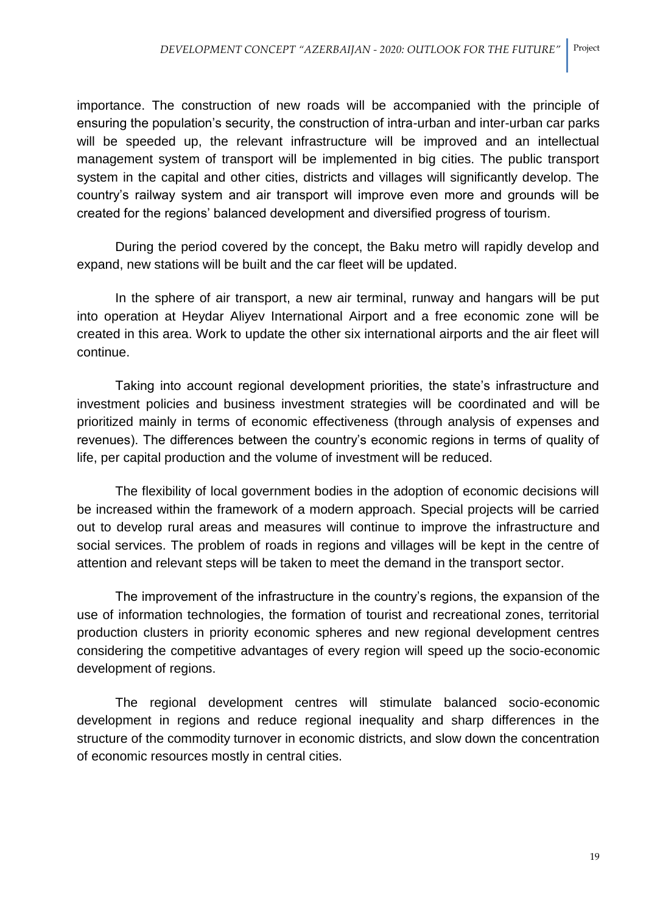importance. The construction of new roads will be accompanied with the principle of ensuring the population's security, the construction of intra-urban and inter-urban car parks will be speeded up, the relevant infrastructure will be improved and an intellectual management system of transport will be implemented in big cities. The public transport system in the capital and other cities, districts and villages will significantly develop. The country's railway system and air transport will improve even more and grounds will be created for the regions' balanced development and diversified progress of tourism.

During the period covered by the concept, the Baku metro will rapidly develop and expand, new stations will be built and the car fleet will be updated.

In the sphere of air transport, a new air terminal, runway and hangars will be put into operation at Heydar Aliyev International Airport and a free economic zone will be created in this area. Work to update the other six international airports and the air fleet will continue.

Taking into account regional development priorities, the state's infrastructure and investment policies and business investment strategies will be coordinated and will be prioritized mainly in terms of economic effectiveness (through analysis of expenses and revenues). The differences between the country's economic regions in terms of quality of life, per capital production and the volume of investment will be reduced.

The flexibility of local government bodies in the adoption of economic decisions will be increased within the framework of a modern approach. Special projects will be carried out to develop rural areas and measures will continue to improve the infrastructure and social services. The problem of roads in regions and villages will be kept in the centre of attention and relevant steps will be taken to meet the demand in the transport sector.

The improvement of the infrastructure in the country's regions, the expansion of the use of information technologies, the formation of tourist and recreational zones, territorial production clusters in priority economic spheres and new regional development centres considering the competitive advantages of every region will speed up the socio-economic development of regions.

The regional development centres will stimulate balanced socio-economic development in regions and reduce regional inequality and sharp differences in the structure of the commodity turnover in economic districts, and slow down the concentration of economic resources mostly in central cities.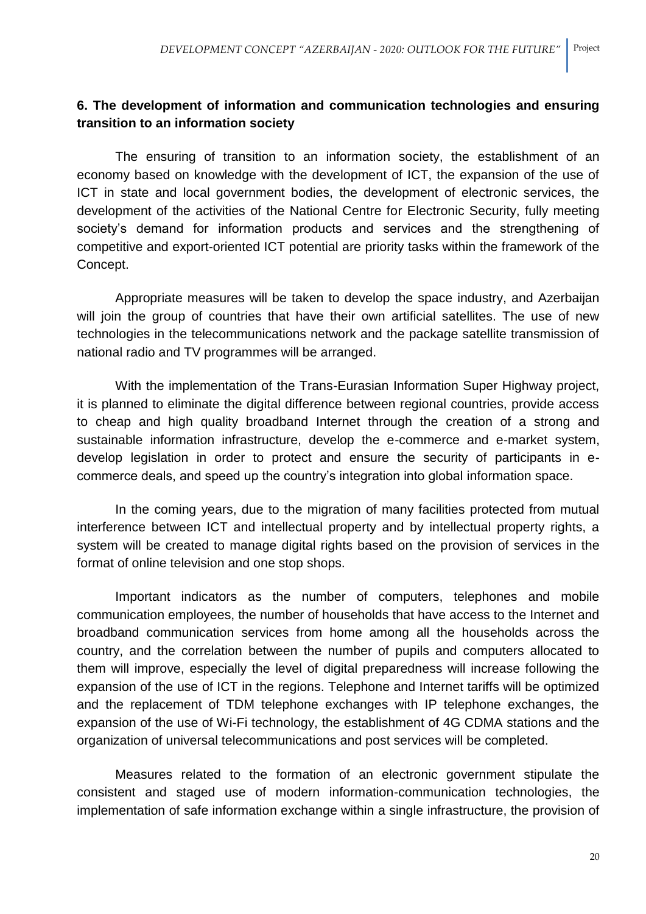# **6. The development of information and communication technologies and ensuring transition to an information society**

The ensuring of transition to an information society, the establishment of an economy based on knowledge with the development of ICT, the expansion of the use of ICT in state and local government bodies, the development of electronic services, the development of the activities of the National Centre for Electronic Security, fully meeting society's demand for information products and services and the strengthening of competitive and export-oriented ICT potential are priority tasks within the framework of the Concept.

Appropriate measures will be taken to develop the space industry, and Azerbaijan will join the group of countries that have their own artificial satellites. The use of new technologies in the telecommunications network and the package satellite transmission of national radio and TV programmes will be arranged.

With the implementation of the Trans-Eurasian Information Super Highway project, it is planned to eliminate the digital difference between regional countries, provide access to cheap and high quality broadband Internet through the creation of a strong and sustainable information infrastructure, develop the e-commerce and e-market system, develop legislation in order to protect and ensure the security of participants in ecommerce deals, and speed up the country's integration into global information space.

In the coming years, due to the migration of many facilities protected from mutual interference between ICT and intellectual property and by intellectual property rights, a system will be created to manage digital rights based on the provision of services in the format of online television and one stop shops.

Important indicators as the number of computers, telephones and mobile communication employees, the number of households that have access to the Internet and broadband communication services from home among all the households across the country, and the correlation between the number of pupils and computers allocated to them will improve, especially the level of digital preparedness will increase following the expansion of the use of ICT in the regions. Telephone and Internet tariffs will be optimized and the replacement of TDM telephone exchanges with IP telephone exchanges, the expansion of the use of Wi-Fi technology, the establishment of 4G CDMA stations and the organization of universal telecommunications and post services will be completed.

Measures related to the formation of an electronic government stipulate the consistent and staged use of modern information-communication technologies, the implementation of safe information exchange within a single infrastructure, the provision of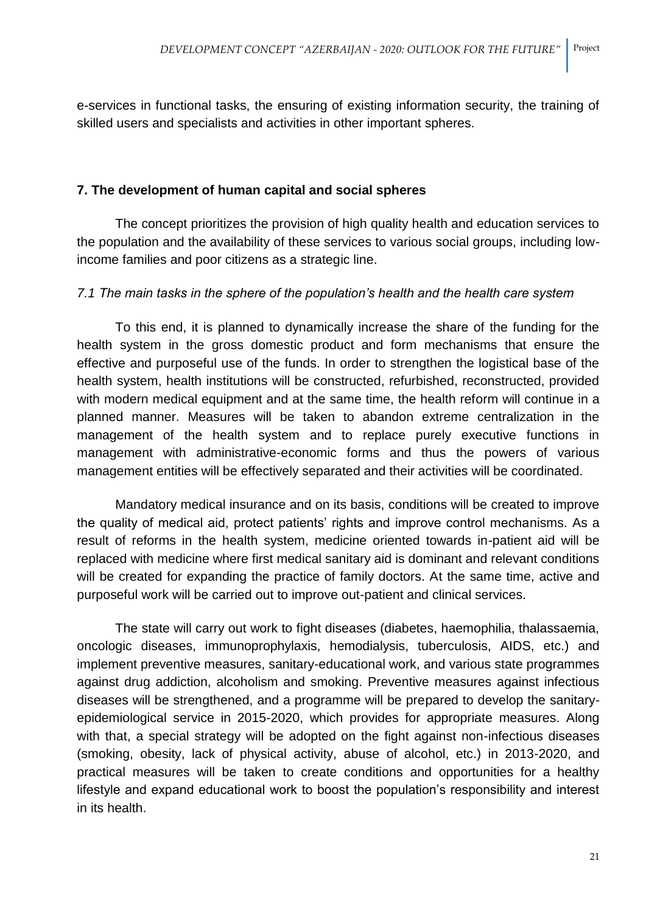e-services in functional tasks, the ensuring of existing information security, the training of skilled users and specialists and activities in other important spheres.

## **7. The development of human capital and social spheres**

The concept prioritizes the provision of high quality health and education services to the population and the availability of these services to various social groups, including lowincome families and poor citizens as a strategic line.

## *7.1 The main tasks in the sphere of the population's health and the health care system*

To this end, it is planned to dynamically increase the share of the funding for the health system in the gross domestic product and form mechanisms that ensure the effective and purposeful use of the funds. In order to strengthen the logistical base of the health system, health institutions will be constructed, refurbished, reconstructed, provided with modern medical equipment and at the same time, the health reform will continue in a planned manner. Measures will be taken to abandon extreme centralization in the management of the health system and to replace purely executive functions in management with administrative-economic forms and thus the powers of various management entities will be effectively separated and their activities will be coordinated.

Mandatory medical insurance and on its basis, conditions will be created to improve the quality of medical aid, protect patients' rights and improve control mechanisms. As a result of reforms in the health system, medicine oriented towards in-patient aid will be replaced with medicine where first medical sanitary aid is dominant and relevant conditions will be created for expanding the practice of family doctors. At the same time, active and purposeful work will be carried out to improve out-patient and clinical services.

The state will carry out work to fight diseases (diabetes, haemophilia, thalassaemia, oncologic diseases, immunoprophylaxis, hemodialysis, tuberculosis, AIDS, etc.) and implement preventive measures, sanitary-educational work, and various state programmes against drug addiction, alcoholism and smoking. Preventive measures against infectious diseases will be strengthened, and a programme will be prepared to develop the sanitaryepidemiological service in 2015-2020, which provides for appropriate measures. Along with that, a special strategy will be adopted on the fight against non-infectious diseases (smoking, obesity, lack of physical activity, abuse of alcohol, etc.) in 2013-2020, and practical measures will be taken to create conditions and opportunities for a healthy lifestyle and expand educational work to boost the population's responsibility and interest in its health.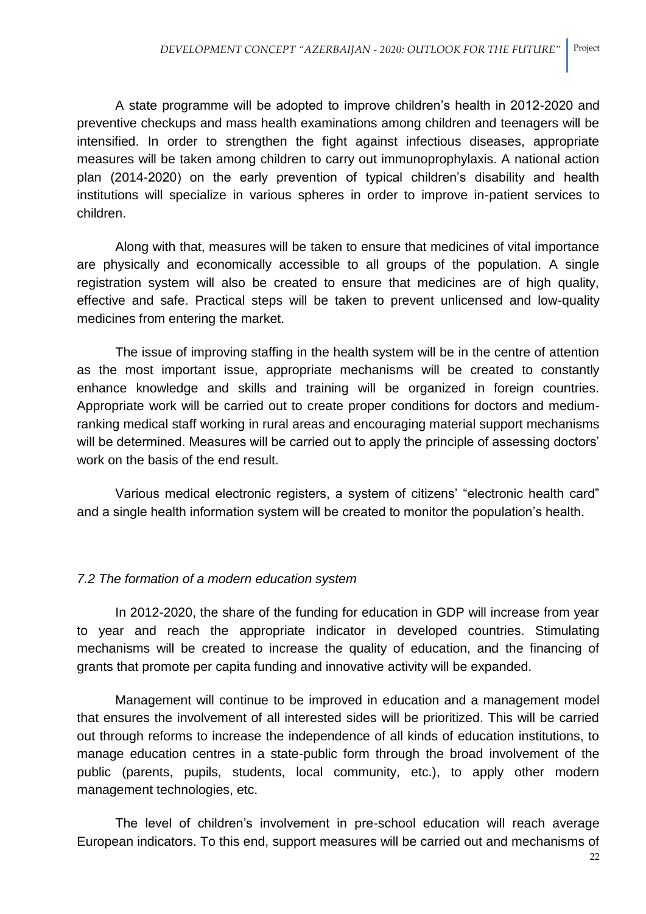A state programme will be adopted to improve children's health in 2012-2020 and preventive checkups and mass health examinations among children and teenagers will be intensified. In order to strengthen the fight against infectious diseases, appropriate measures will be taken among children to carry out immunoprophylaxis. A national action plan (2014-2020) on the early prevention of typical children's disability and health institutions will specialize in various spheres in order to improve in-patient services to children.

Along with that, measures will be taken to ensure that medicines of vital importance are physically and economically accessible to all groups of the population. A single registration system will also be created to ensure that medicines are of high quality, effective and safe. Practical steps will be taken to prevent unlicensed and low-quality medicines from entering the market.

The issue of improving staffing in the health system will be in the centre of attention as the most important issue, appropriate mechanisms will be created to constantly enhance knowledge and skills and training will be organized in foreign countries. Appropriate work will be carried out to create proper conditions for doctors and mediumranking medical staff working in rural areas and encouraging material support mechanisms will be determined. Measures will be carried out to apply the principle of assessing doctors' work on the basis of the end result.

Various medical electronic registers, a system of citizens' "electronic health card" and a single health information system will be created to monitor the population's health.

# *7.2 The formation of a modern education system*

In 2012-2020, the share of the funding for education in GDP will increase from year to year and reach the appropriate indicator in developed countries. Stimulating mechanisms will be created to increase the quality of education, and the financing of grants that promote per capita funding and innovative activity will be expanded.

Management will continue to be improved in education and a management model that ensures the involvement of all interested sides will be prioritized. This will be carried out through reforms to increase the independence of all kinds of education institutions, to manage education centres in a state-public form through the broad involvement of the public (parents, pupils, students, local community, etc.), to apply other modern management technologies, etc.

The level of children's involvement in pre-school education will reach average European indicators. To this end, support measures will be carried out and mechanisms of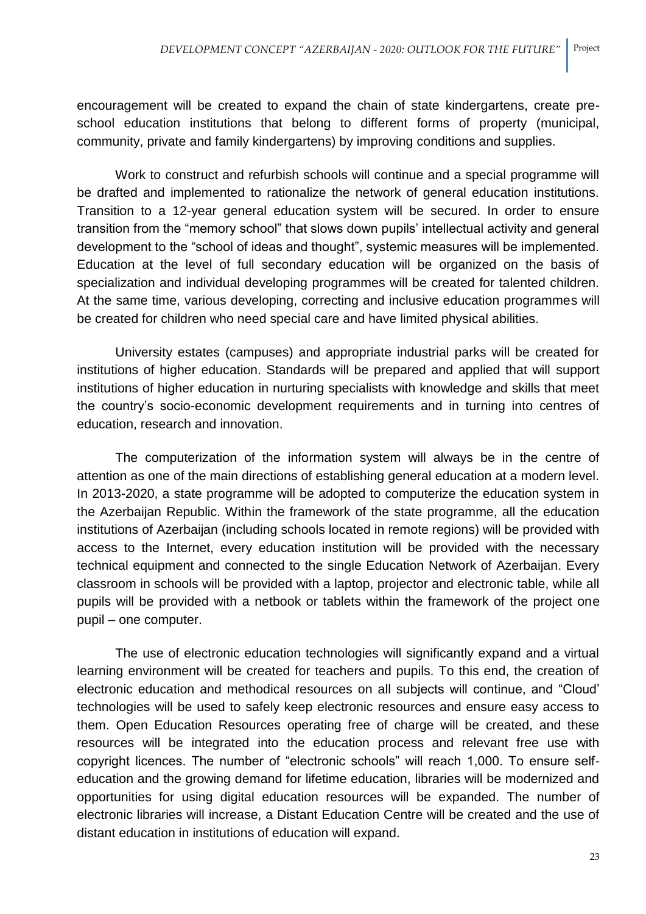encouragement will be created to expand the chain of state kindergartens, create preschool education institutions that belong to different forms of property (municipal, community, private and family kindergartens) by improving conditions and supplies.

Work to construct and refurbish schools will continue and a special programme will be drafted and implemented to rationalize the network of general education institutions. Transition to a 12-year general education system will be secured. In order to ensure transition from the "memory school" that slows down pupils' intellectual activity and general development to the "school of ideas and thought", systemic measures will be implemented. Education at the level of full secondary education will be organized on the basis of specialization and individual developing programmes will be created for talented children. At the same time, various developing, correcting and inclusive education programmes will be created for children who need special care and have limited physical abilities.

University estates (campuses) and appropriate industrial parks will be created for institutions of higher education. Standards will be prepared and applied that will support institutions of higher education in nurturing specialists with knowledge and skills that meet the country's socio-economic development requirements and in turning into centres of education, research and innovation.

The computerization of the information system will always be in the centre of attention as one of the main directions of establishing general education at a modern level. In 2013-2020, a state programme will be adopted to computerize the education system in the Azerbaijan Republic. Within the framework of the state programme, all the education institutions of Azerbaijan (including schools located in remote regions) will be provided with access to the Internet, every education institution will be provided with the necessary technical equipment and connected to the single Education Network of Azerbaijan. Every classroom in schools will be provided with a laptop, projector and electronic table, while all pupils will be provided with a netbook or tablets within the framework of the project one pupil – one computer.

The use of electronic education technologies will significantly expand and a virtual learning environment will be created for teachers and pupils. To this end, the creation of electronic education and methodical resources on all subjects will continue, and "Cloud' technologies will be used to safely keep electronic resources and ensure easy access to them. Open Education Resources operating free of charge will be created, and these resources will be integrated into the education process and relevant free use with copyright licences. The number of "electronic schools" will reach 1,000. To ensure selfeducation and the growing demand for lifetime education, libraries will be modernized and opportunities for using digital education resources will be expanded. The number of electronic libraries will increase, a Distant Education Centre will be created and the use of distant education in institutions of education will expand.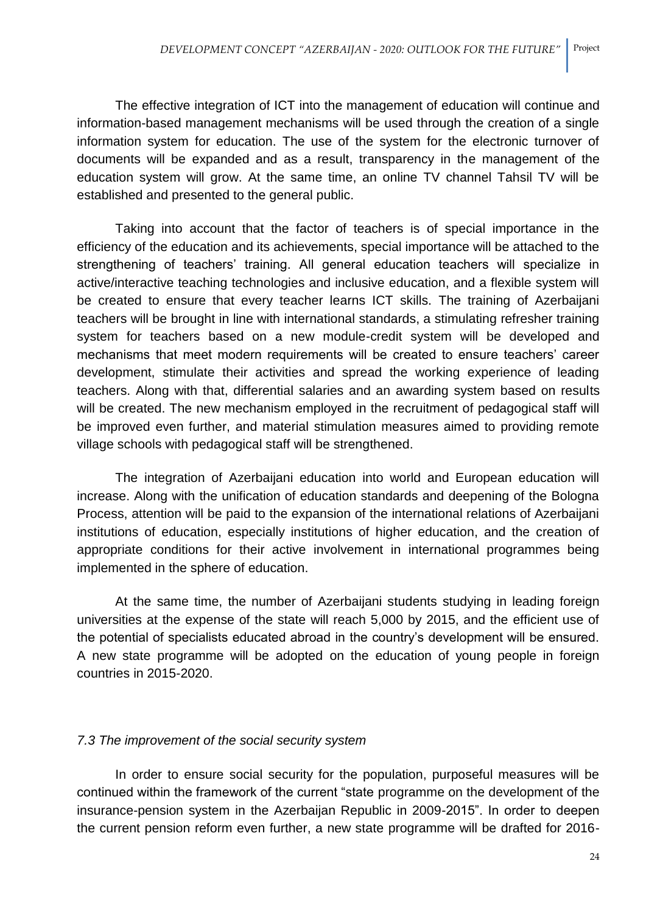The effective integration of ICT into the management of education will continue and information-based management mechanisms will be used through the creation of a single information system for education. The use of the system for the electronic turnover of documents will be expanded and as a result, transparency in the management of the education system will grow. At the same time, an online TV channel Tahsil TV will be established and presented to the general public.

Taking into account that the factor of teachers is of special importance in the efficiency of the education and its achievements, special importance will be attached to the strengthening of teachers' training. All general education teachers will specialize in active/interactive teaching technologies and inclusive education, and a flexible system will be created to ensure that every teacher learns ICT skills. The training of Azerbaijani teachers will be brought in line with international standards, a stimulating refresher training system for teachers based on a new module-credit system will be developed and mechanisms that meet modern requirements will be created to ensure teachers' career development, stimulate their activities and spread the working experience of leading teachers. Along with that, differential salaries and an awarding system based on results will be created. The new mechanism employed in the recruitment of pedagogical staff will be improved even further, and material stimulation measures aimed to providing remote village schools with pedagogical staff will be strengthened.

The integration of Azerbaijani education into world and European education will increase. Along with the unification of education standards and deepening of the Bologna Process, attention will be paid to the expansion of the international relations of Azerbaijani institutions of education, especially institutions of higher education, and the creation of appropriate conditions for their active involvement in international programmes being implemented in the sphere of education.

At the same time, the number of Azerbaijani students studying in leading foreign universities at the expense of the state will reach 5,000 by 2015, and the efficient use of the potential of specialists educated abroad in the country's development will be ensured. A new state programme will be adopted on the education of young people in foreign countries in 2015-2020.

### *7.3 The improvement of the social security system*

In order to ensure social security for the population, purposeful measures will be continued within the framework of the current "state programme on the development of the insurance-pension system in the Azerbaijan Republic in 2009-2015". In order to deepen the current pension reform even further, a new state programme will be drafted for 2016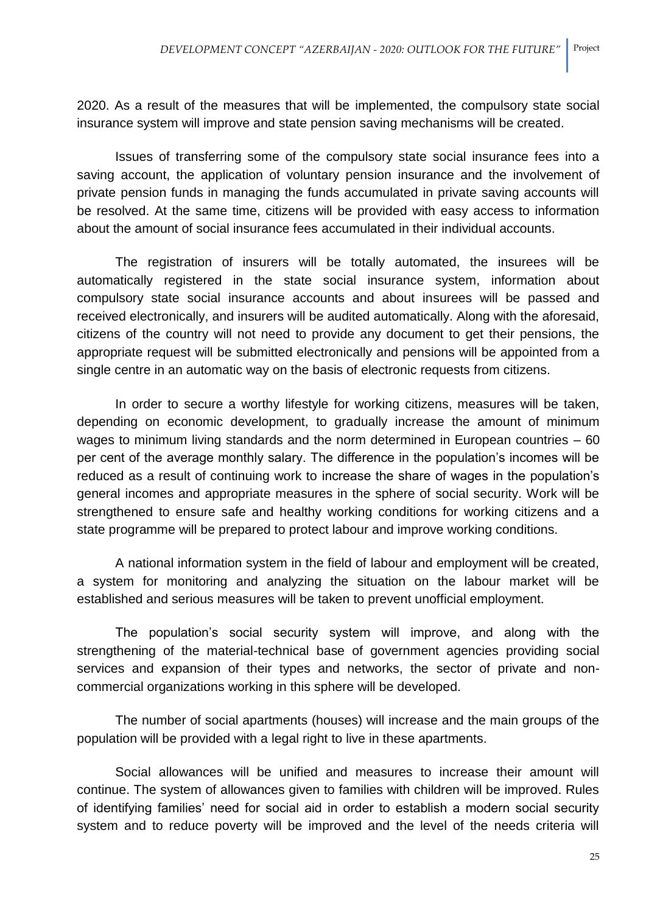2020. As a result of the measures that will be implemented, the compulsory state social insurance system will improve and state pension saving mechanisms will be created.

Issues of transferring some of the compulsory state social insurance fees into a saving account, the application of voluntary pension insurance and the involvement of private pension funds in managing the funds accumulated in private saving accounts will be resolved. At the same time, citizens will be provided with easy access to information about the amount of social insurance fees accumulated in their individual accounts.

The registration of insurers will be totally automated, the insurees will be automatically registered in the state social insurance system, information about compulsory state social insurance accounts and about insurees will be passed and received electronically, and insurers will be audited automatically. Along with the aforesaid, citizens of the country will not need to provide any document to get their pensions, the appropriate request will be submitted electronically and pensions will be appointed from a single centre in an automatic way on the basis of electronic requests from citizens.

In order to secure a worthy lifestyle for working citizens, measures will be taken, depending on economic development, to gradually increase the amount of minimum wages to minimum living standards and the norm determined in European countries – 60 per cent of the average monthly salary. The difference in the population's incomes will be reduced as a result of continuing work to increase the share of wages in the population's general incomes and appropriate measures in the sphere of social security. Work will be strengthened to ensure safe and healthy working conditions for working citizens and a state programme will be prepared to protect labour and improve working conditions.

A national information system in the field of labour and employment will be created, a system for monitoring and analyzing the situation on the labour market will be established and serious measures will be taken to prevent unofficial employment.

The population's social security system will improve, and along with the strengthening of the material-technical base of government agencies providing social services and expansion of their types and networks, the sector of private and noncommercial organizations working in this sphere will be developed.

The number of social apartments (houses) will increase and the main groups of the population will be provided with a legal right to live in these apartments.

Social allowances will be unified and measures to increase their amount will continue. The system of allowances given to families with children will be improved. Rules of identifying families' need for social aid in order to establish a modern social security system and to reduce poverty will be improved and the level of the needs criteria will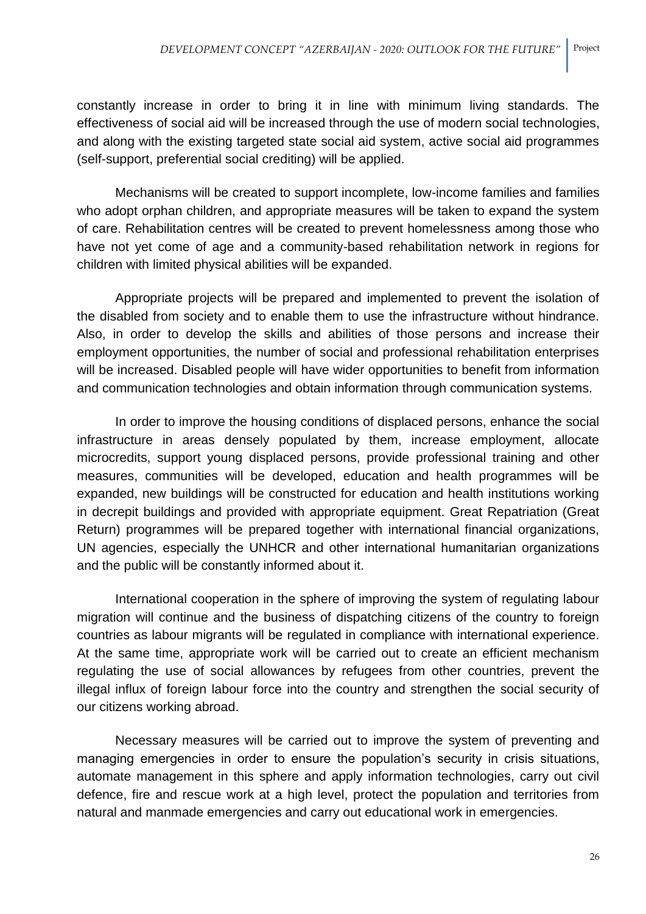constantly increase in order to bring it in line with minimum living standards. The effectiveness of social aid will be increased through the use of modern social technologies, and along with the existing targeted state social aid system, active social aid programmes (self-support, preferential social crediting) will be applied.

Mechanisms will be created to support incomplete, low-income families and families who adopt orphan children, and appropriate measures will be taken to expand the system of care. Rehabilitation centres will be created to prevent homelessness among those who have not yet come of age and a community-based rehabilitation network in regions for children with limited physical abilities will be expanded.

Appropriate projects will be prepared and implemented to prevent the isolation of the disabled from society and to enable them to use the infrastructure without hindrance. Also, in order to develop the skills and abilities of those persons and increase their employment opportunities, the number of social and professional rehabilitation enterprises will be increased. Disabled people will have wider opportunities to benefit from information and communication technologies and obtain information through communication systems.

In order to improve the housing conditions of displaced persons, enhance the social infrastructure in areas densely populated by them, increase employment, allocate microcredits, support young displaced persons, provide professional training and other measures, communities will be developed, education and health programmes will be expanded, new buildings will be constructed for education and health institutions working in decrepit buildings and provided with appropriate equipment. Great Repatriation (Great Return) programmes will be prepared together with international financial organizations, UN agencies, especially the UNHCR and other international humanitarian organizations and the public will be constantly informed about it.

International cooperation in the sphere of improving the system of regulating labour migration will continue and the business of dispatching citizens of the country to foreign countries as labour migrants will be regulated in compliance with international experience. At the same time, appropriate work will be carried out to create an efficient mechanism regulating the use of social allowances by refugees from other countries, prevent the illegal influx of foreign labour force into the country and strengthen the social security of our citizens working abroad.

Necessary measures will be carried out to improve the system of preventing and managing emergencies in order to ensure the population's security in crisis situations, automate management in this sphere and apply information technologies, carry out civil defence, fire and rescue work at a high level, protect the population and territories from natural and manmade emergencies and carry out educational work in emergencies.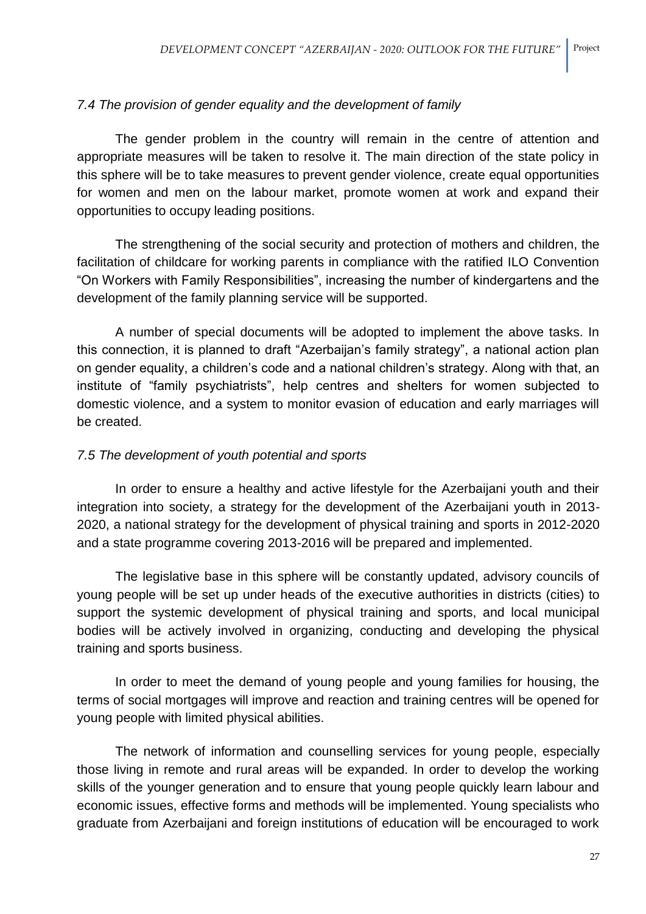## *7.4 The provision of gender equality and the development of family*

The gender problem in the country will remain in the centre of attention and appropriate measures will be taken to resolve it. The main direction of the state policy in this sphere will be to take measures to prevent gender violence, create equal opportunities for women and men on the labour market, promote women at work and expand their opportunities to occupy leading positions.

The strengthening of the social security and protection of mothers and children, the facilitation of childcare for working parents in compliance with the ratified ILO Convention "On Workers with Family Responsibilities", increasing the number of kindergartens and the development of the family planning service will be supported.

A number of special documents will be adopted to implement the above tasks. In this connection, it is planned to draft "Azerbaijan's family strategy", a national action plan on gender equality, a children's code and a national children's strategy. Along with that, an institute of "family psychiatrists", help centres and shelters for women subjected to domestic violence, and a system to monitor evasion of education and early marriages will be created.

## *7.5 The development of youth potential and sports*

In order to ensure a healthy and active lifestyle for the Azerbaijani youth and their integration into society, a strategy for the development of the Azerbaijani youth in 2013- 2020, a national strategy for the development of physical training and sports in 2012-2020 and a state programme covering 2013-2016 will be prepared and implemented.

The legislative base in this sphere will be constantly updated, advisory councils of young people will be set up under heads of the executive authorities in districts (cities) to support the systemic development of physical training and sports, and local municipal bodies will be actively involved in organizing, conducting and developing the physical training and sports business.

In order to meet the demand of young people and young families for housing, the terms of social mortgages will improve and reaction and training centres will be opened for young people with limited physical abilities.

The network of information and counselling services for young people, especially those living in remote and rural areas will be expanded. In order to develop the working skills of the younger generation and to ensure that young people quickly learn labour and economic issues, effective forms and methods will be implemented. Young specialists who graduate from Azerbaijani and foreign institutions of education will be encouraged to work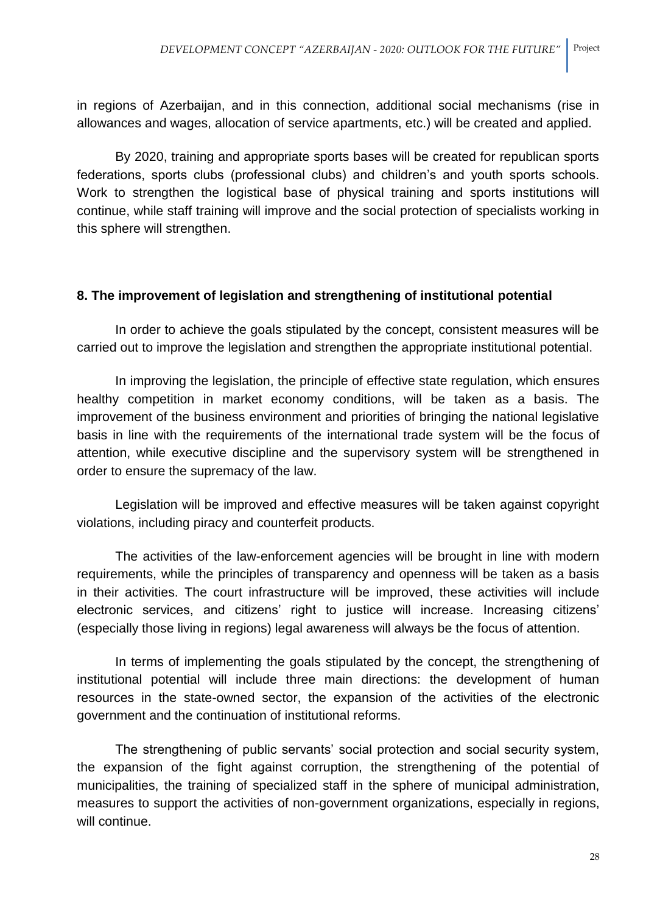in regions of Azerbaijan, and in this connection, additional social mechanisms (rise in allowances and wages, allocation of service apartments, etc.) will be created and applied.

By 2020, training and appropriate sports bases will be created for republican sports federations, sports clubs (professional clubs) and children's and youth sports schools. Work to strengthen the logistical base of physical training and sports institutions will continue, while staff training will improve and the social protection of specialists working in this sphere will strengthen.

### **8. The improvement of legislation and strengthening of institutional potential**

In order to achieve the goals stipulated by the concept, consistent measures will be carried out to improve the legislation and strengthen the appropriate institutional potential.

In improving the legislation, the principle of effective state regulation, which ensures healthy competition in market economy conditions, will be taken as a basis. The improvement of the business environment and priorities of bringing the national legislative basis in line with the requirements of the international trade system will be the focus of attention, while executive discipline and the supervisory system will be strengthened in order to ensure the supremacy of the law.

Legislation will be improved and effective measures will be taken against copyright violations, including piracy and counterfeit products.

The activities of the law-enforcement agencies will be brought in line with modern requirements, while the principles of transparency and openness will be taken as a basis in their activities. The court infrastructure will be improved, these activities will include electronic services, and citizens' right to justice will increase. Increasing citizens' (especially those living in regions) legal awareness will always be the focus of attention.

In terms of implementing the goals stipulated by the concept, the strengthening of institutional potential will include three main directions: the development of human resources in the state-owned sector, the expansion of the activities of the electronic government and the continuation of institutional reforms.

The strengthening of public servants' social protection and social security system, the expansion of the fight against corruption, the strengthening of the potential of municipalities, the training of specialized staff in the sphere of municipal administration, measures to support the activities of non-government organizations, especially in regions, will continue.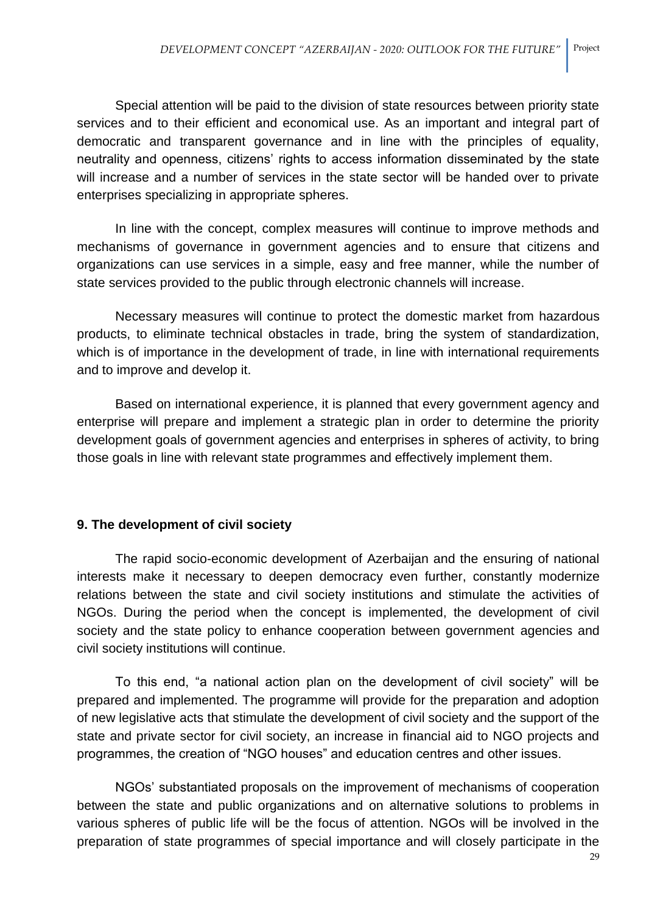Special attention will be paid to the division of state resources between priority state services and to their efficient and economical use. As an important and integral part of democratic and transparent governance and in line with the principles of equality, neutrality and openness, citizens' rights to access information disseminated by the state will increase and a number of services in the state sector will be handed over to private enterprises specializing in appropriate spheres.

In line with the concept, complex measures will continue to improve methods and mechanisms of governance in government agencies and to ensure that citizens and organizations can use services in a simple, easy and free manner, while the number of state services provided to the public through electronic channels will increase.

Necessary measures will continue to protect the domestic market from hazardous products, to eliminate technical obstacles in trade, bring the system of standardization, which is of importance in the development of trade, in line with international requirements and to improve and develop it.

Based on international experience, it is planned that every government agency and enterprise will prepare and implement a strategic plan in order to determine the priority development goals of government agencies and enterprises in spheres of activity, to bring those goals in line with relevant state programmes and effectively implement them.

# **9. The development of civil society**

The rapid socio-economic development of Azerbaijan and the ensuring of national interests make it necessary to deepen democracy even further, constantly modernize relations between the state and civil society institutions and stimulate the activities of NGOs. During the period when the concept is implemented, the development of civil society and the state policy to enhance cooperation between government agencies and civil society institutions will continue.

To this end, "a national action plan on the development of civil society" will be prepared and implemented. The programme will provide for the preparation and adoption of new legislative acts that stimulate the development of civil society and the support of the state and private sector for civil society, an increase in financial aid to NGO projects and programmes, the creation of "NGO houses" and education centres and other issues.

NGOs' substantiated proposals on the improvement of mechanisms of cooperation between the state and public organizations and on alternative solutions to problems in various spheres of public life will be the focus of attention. NGOs will be involved in the preparation of state programmes of special importance and will closely participate in the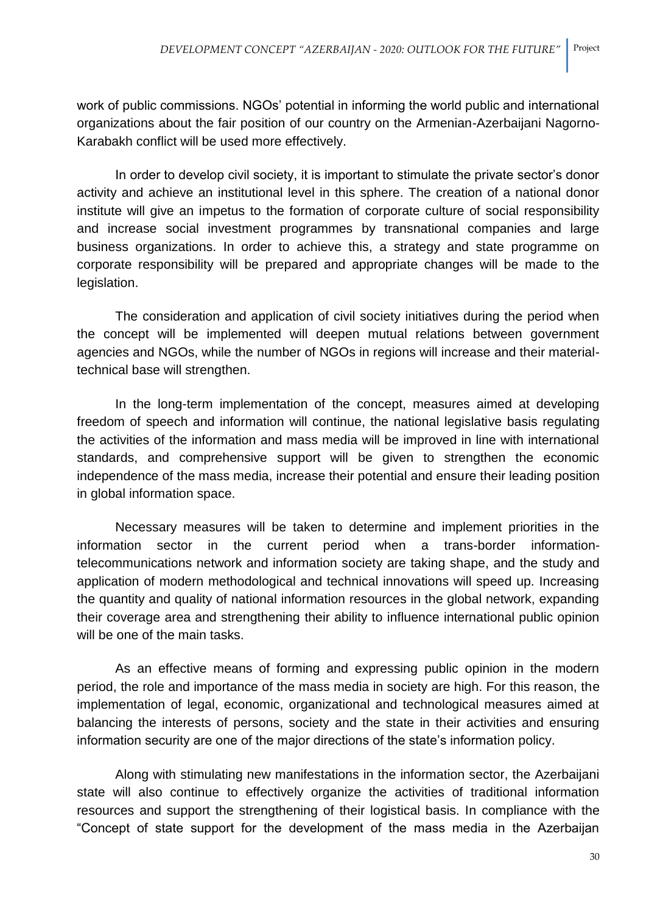work of public commissions. NGOs' potential in informing the world public and international organizations about the fair position of our country on the Armenian-Azerbaijani Nagorno-Karabakh conflict will be used more effectively.

In order to develop civil society, it is important to stimulate the private sector's donor activity and achieve an institutional level in this sphere. The creation of a national donor institute will give an impetus to the formation of corporate culture of social responsibility and increase social investment programmes by transnational companies and large business organizations. In order to achieve this, a strategy and state programme on corporate responsibility will be prepared and appropriate changes will be made to the legislation.

The consideration and application of civil society initiatives during the period when the concept will be implemented will deepen mutual relations between government agencies and NGOs, while the number of NGOs in regions will increase and their materialtechnical base will strengthen.

In the long-term implementation of the concept, measures aimed at developing freedom of speech and information will continue, the national legislative basis regulating the activities of the information and mass media will be improved in line with international standards, and comprehensive support will be given to strengthen the economic independence of the mass media, increase their potential and ensure their leading position in global information space.

Necessary measures will be taken to determine and implement priorities in the information sector in the current period when a trans-border informationtelecommunications network and information society are taking shape, and the study and application of modern methodological and technical innovations will speed up. Increasing the quantity and quality of national information resources in the global network, expanding their coverage area and strengthening their ability to influence international public opinion will be one of the main tasks.

As an effective means of forming and expressing public opinion in the modern period, the role and importance of the mass media in society are high. For this reason, the implementation of legal, economic, organizational and technological measures aimed at balancing the interests of persons, society and the state in their activities and ensuring information security are one of the major directions of the state's information policy.

Along with stimulating new manifestations in the information sector, the Azerbaijani state will also continue to effectively organize the activities of traditional information resources and support the strengthening of their logistical basis. In compliance with the "Concept of state support for the development of the mass media in the Azerbaijan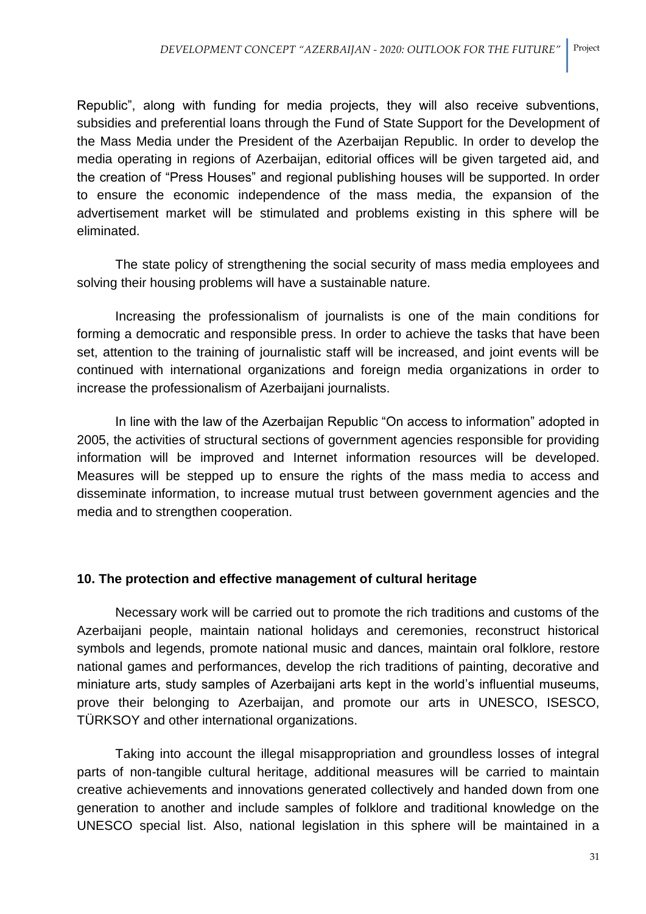Republic", along with funding for media projects, they will also receive subventions, subsidies and preferential loans through the Fund of State Support for the Development of the Mass Media under the President of the Azerbaijan Republic. In order to develop the media operating in regions of Azerbaijan, editorial offices will be given targeted aid, and the creation of "Press Houses" and regional publishing houses will be supported. In order to ensure the economic independence of the mass media, the expansion of the advertisement market will be stimulated and problems existing in this sphere will be eliminated.

The state policy of strengthening the social security of mass media employees and solving their housing problems will have a sustainable nature.

Increasing the professionalism of journalists is one of the main conditions for forming a democratic and responsible press. In order to achieve the tasks that have been set, attention to the training of journalistic staff will be increased, and joint events will be continued with international organizations and foreign media organizations in order to increase the professionalism of Azerbaijani journalists.

In line with the law of the Azerbaijan Republic "On access to information" adopted in 2005, the activities of structural sections of government agencies responsible for providing information will be improved and Internet information resources will be developed. Measures will be stepped up to ensure the rights of the mass media to access and disseminate information, to increase mutual trust between government agencies and the media and to strengthen cooperation.

### **10. The protection and effective management of cultural heritage**

Necessary work will be carried out to promote the rich traditions and customs of the Azerbaijani people, maintain national holidays and ceremonies, reconstruct historical symbols and legends, promote national music and dances, maintain oral folklore, restore national games and performances, develop the rich traditions of painting, decorative and miniature arts, study samples of Azerbaijani arts kept in the world's influential museums, prove their belonging to Azerbaijan, and promote our arts in UNESCO, ISESCO, TÜRKSOY and other international organizations.

Taking into account the illegal misappropriation and groundless losses of integral parts of non-tangible cultural heritage, additional measures will be carried to maintain creative achievements and innovations generated collectively and handed down from one generation to another and include samples of folklore and traditional knowledge on the UNESCO special list. Also, national legislation in this sphere will be maintained in a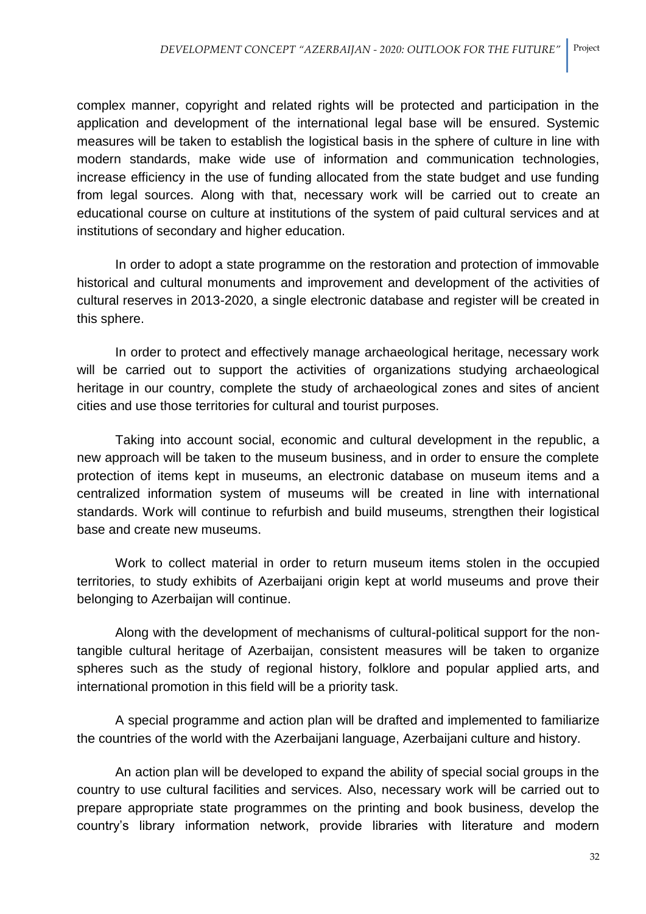complex manner, copyright and related rights will be protected and participation in the application and development of the international legal base will be ensured. Systemic measures will be taken to establish the logistical basis in the sphere of culture in line with modern standards, make wide use of information and communication technologies, increase efficiency in the use of funding allocated from the state budget and use funding from legal sources. Along with that, necessary work will be carried out to create an educational course on culture at institutions of the system of paid cultural services and at institutions of secondary and higher education.

In order to adopt a state programme on the restoration and protection of immovable historical and cultural monuments and improvement and development of the activities of cultural reserves in 2013-2020, a single electronic database and register will be created in this sphere.

In order to protect and effectively manage archaeological heritage, necessary work will be carried out to support the activities of organizations studying archaeological heritage in our country, complete the study of archaeological zones and sites of ancient cities and use those territories for cultural and tourist purposes.

Taking into account social, economic and cultural development in the republic, a new approach will be taken to the museum business, and in order to ensure the complete protection of items kept in museums, an electronic database on museum items and a centralized information system of museums will be created in line with international standards. Work will continue to refurbish and build museums, strengthen their logistical base and create new museums.

Work to collect material in order to return museum items stolen in the occupied territories, to study exhibits of Azerbaijani origin kept at world museums and prove their belonging to Azerbaijan will continue.

Along with the development of mechanisms of cultural-political support for the nontangible cultural heritage of Azerbaijan, consistent measures will be taken to organize spheres such as the study of regional history, folklore and popular applied arts, and international promotion in this field will be a priority task.

A special programme and action plan will be drafted and implemented to familiarize the countries of the world with the Azerbaijani language, Azerbaijani culture and history.

An action plan will be developed to expand the ability of special social groups in the country to use cultural facilities and services. Also, necessary work will be carried out to prepare appropriate state programmes on the printing and book business, develop the country's library information network, provide libraries with literature and modern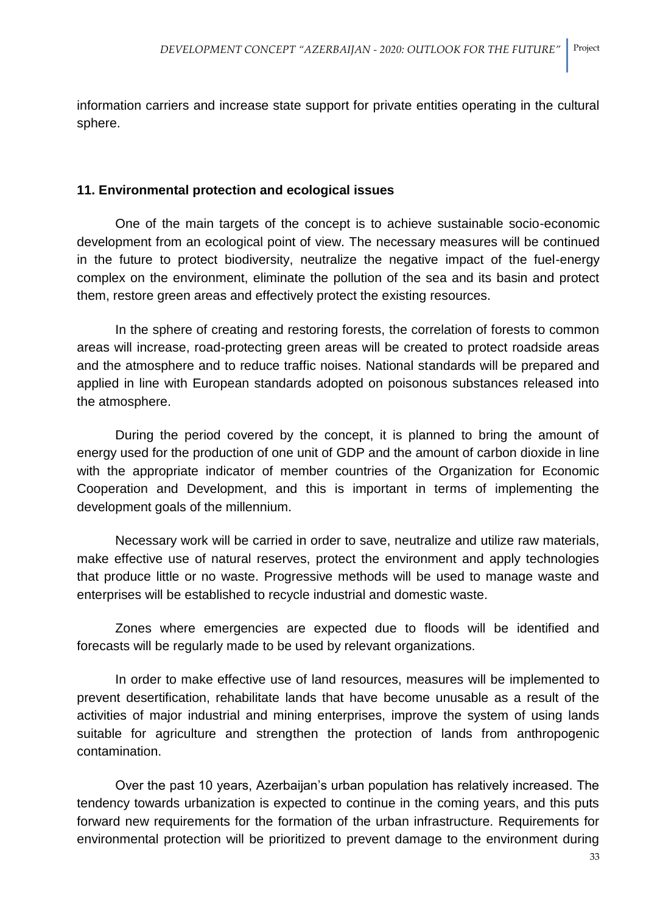information carriers and increase state support for private entities operating in the cultural sphere.

### **11. Environmental protection and ecological issues**

One of the main targets of the concept is to achieve sustainable socio-economic development from an ecological point of view. The necessary measures will be continued in the future to protect biodiversity, neutralize the negative impact of the fuel-energy complex on the environment, eliminate the pollution of the sea and its basin and protect them, restore green areas and effectively protect the existing resources.

In the sphere of creating and restoring forests, the correlation of forests to common areas will increase, road-protecting green areas will be created to protect roadside areas and the atmosphere and to reduce traffic noises. National standards will be prepared and applied in line with European standards adopted on poisonous substances released into the atmosphere.

During the period covered by the concept, it is planned to bring the amount of energy used for the production of one unit of GDP and the amount of carbon dioxide in line with the appropriate indicator of member countries of the Organization for Economic Cooperation and Development, and this is important in terms of implementing the development goals of the millennium.

Necessary work will be carried in order to save, neutralize and utilize raw materials, make effective use of natural reserves, protect the environment and apply technologies that produce little or no waste. Progressive methods will be used to manage waste and enterprises will be established to recycle industrial and domestic waste.

Zones where emergencies are expected due to floods will be identified and forecasts will be regularly made to be used by relevant organizations.

In order to make effective use of land resources, measures will be implemented to prevent desertification, rehabilitate lands that have become unusable as a result of the activities of major industrial and mining enterprises, improve the system of using lands suitable for agriculture and strengthen the protection of lands from anthropogenic contamination.

Over the past 10 years, Azerbaijan's urban population has relatively increased. The tendency towards urbanization is expected to continue in the coming years, and this puts forward new requirements for the formation of the urban infrastructure. Requirements for environmental protection will be prioritized to prevent damage to the environment during